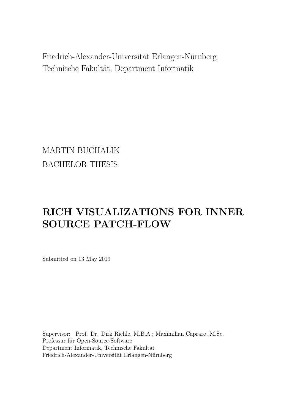<span id="page-0-0"></span>Friedrich-Alexander-Universität Erlangen-Nürnberg Technische Fakultät, Department Informatik

MARTIN BUCHALIK BACHELOR THESIS

# RICH VISUALIZATIONS FOR INNER SOURCE PATCH-FLOW

Submitted on 13 May 2019

Supervisor: Prof. Dr. Dirk Riehle, M.B.A.; Maximilian Capraro, M.Sc. Professur für Open-Source-Software Department Informatik, Technische Fakultät Friedrich-Alexander-Universität Erlangen-Nürnberg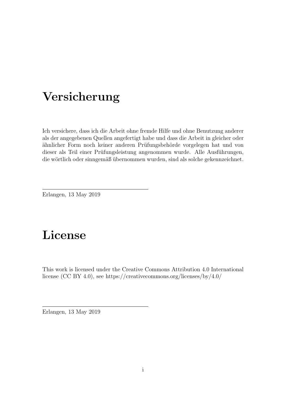# Versicherung

Ich versichere, dass ich die Arbeit ohne fremde Hilfe und ohne Benutzung anderer als der angegebenen Quellen angefertigt habe und dass die Arbeit in gleicher oder ähnlicher Form noch keiner anderen Prüfungsbehörde vorgelegen hat und von dieser als Teil einer Prüfungsleistung angenommen wurde. Alle Ausführungen, die wörtlich oder sinngemäß übernommen wurden, sind als solche gekennzeichnet.

Erlangen, 13 May 2019

# License

This work is licensed under the Creative Commons Attribution 4.0 International license (CC BY 4.0), see<https://creativecommons.org/licenses/by/4.0/>

Erlangen, 13 May 2019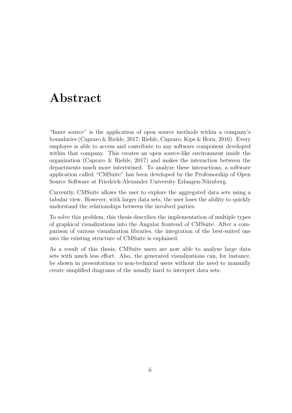# Abstract

"Inner source" is the application of open source methods within a company's boundaries (Capraro & Riehle, [2017;](#page-65-0) Riehle, Capraro, Kips & Horn, [2016\)](#page-65-1). Every employee is able to access and contribute to any software component developed within that company. This creates an open source-like environment inside the organization (Capraro  $\&$  Riehle, [2017\)](#page-65-0) and makes the interaction between the departments much more intertwined. To analyze these interactions, a software application called "CMSuite" has been developed by the Professorship of Open Source Software at Friedrich-Alexander University Erlangen-Nürnberg.

Currently, CMSuite allows the user to explore the aggregated data sets using a tabular view. However, with larger data sets, the user loses the ability to quickly understand the relationships between the involved parties.

To solve this problem, this thesis describes the implementation of multiple types of graphical visualizations into the Angular frontend of CMSuite. After a comparison of various visualization libraries, the integration of the best-suited one into the existing structure of CMSuite is explained.

As a result of this thesis, CMSuite users are now able to analyze large data sets with much less effort. Also, the generated visualizations can, for instance, be shown in presentations to non-technical users without the need to manually create simplified diagrams of the usually hard to interpret data sets.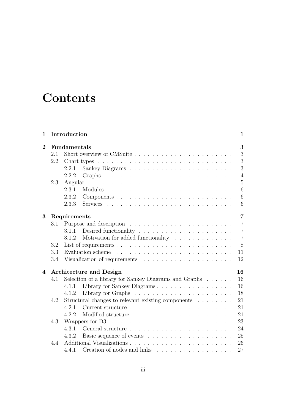# **Contents**

| 1              |     | Introduction                                                                     | 1              |  |  |  |  |  |  |
|----------------|-----|----------------------------------------------------------------------------------|----------------|--|--|--|--|--|--|
| $\overline{2}$ |     | Fundamentals                                                                     | 3              |  |  |  |  |  |  |
|                | 2.1 | Short overview of CMSuite                                                        | 3              |  |  |  |  |  |  |
|                | 2.2 |                                                                                  | 3              |  |  |  |  |  |  |
|                |     | 2.2.1                                                                            | 3              |  |  |  |  |  |  |
|                |     | 2.2.2                                                                            | $\overline{4}$ |  |  |  |  |  |  |
|                | 2.3 | Angular                                                                          | $\overline{5}$ |  |  |  |  |  |  |
|                |     | 2.3.1                                                                            | 6              |  |  |  |  |  |  |
|                |     | 2.3.2                                                                            | 6              |  |  |  |  |  |  |
|                |     | 2.3.3                                                                            | 6              |  |  |  |  |  |  |
| 3              |     | Requirements                                                                     | $\overline{7}$ |  |  |  |  |  |  |
|                | 3.1 |                                                                                  | $\overline{7}$ |  |  |  |  |  |  |
|                |     | 3.1.1                                                                            | $\overline{7}$ |  |  |  |  |  |  |
|                |     | Motivation for added functionality<br>3.1.2                                      | $\overline{7}$ |  |  |  |  |  |  |
|                | 3.2 |                                                                                  | 8              |  |  |  |  |  |  |
|                | 3.3 | 11                                                                               |                |  |  |  |  |  |  |
|                | 3.4 |                                                                                  | 12             |  |  |  |  |  |  |
| 4              |     | <b>Architecture and Design</b>                                                   | 16             |  |  |  |  |  |  |
|                | 4.1 | Selection of a library for Sankey Diagrams and Graphs                            | 16             |  |  |  |  |  |  |
|                |     | Library for Sankey Diagrams<br>4.1.1                                             | 16             |  |  |  |  |  |  |
|                |     | 4.1.2                                                                            | 18             |  |  |  |  |  |  |
|                | 4.2 | Structural changes to relevant existing components                               | 21             |  |  |  |  |  |  |
|                |     | 4.2.1                                                                            | 21             |  |  |  |  |  |  |
|                |     | 4.2.2                                                                            | 21             |  |  |  |  |  |  |
|                | 4.3 | Wrappers for D3                                                                  | 23             |  |  |  |  |  |  |
|                |     | 4.3.1                                                                            | 24             |  |  |  |  |  |  |
|                |     | 4.3.2                                                                            | 25             |  |  |  |  |  |  |
|                | 4.4 |                                                                                  | 26             |  |  |  |  |  |  |
|                |     | Creation of nodes and links $\ldots \ldots \ldots \ldots \ldots \ldots$<br>4.4.1 | 27             |  |  |  |  |  |  |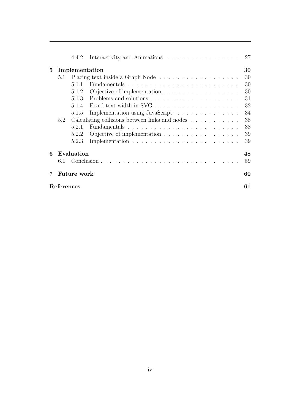|                |             | 4.4.2      | Interactivity and Animations                                          | 27 |  |  |
|----------------|-------------|------------|-----------------------------------------------------------------------|----|--|--|
| $\overline{5}$ |             |            | Implementation                                                        | 30 |  |  |
|                | 5.1         |            |                                                                       | 30 |  |  |
|                |             | 5.1.1      |                                                                       | 30 |  |  |
|                |             | 5.1.2      | Objective of implementation                                           | 30 |  |  |
|                |             | 5.1.3      |                                                                       | 31 |  |  |
|                |             | 5.1.4      |                                                                       | 32 |  |  |
|                |             | 5.1.5      | Implementation using JavaScript                                       | 34 |  |  |
|                | 5.2         |            | Calculating collisions between links and nodes $\ldots \ldots \ldots$ | 38 |  |  |
|                |             | 5.2.1      |                                                                       | 38 |  |  |
|                |             | 5.2.2      | Objective of implementation                                           | 39 |  |  |
|                |             | 5.2.3      |                                                                       | 39 |  |  |
| 6              |             | Evaluation |                                                                       | 48 |  |  |
|                | 6.1         |            |                                                                       | 59 |  |  |
|                | Future work |            |                                                                       |    |  |  |
|                | References  |            |                                                                       |    |  |  |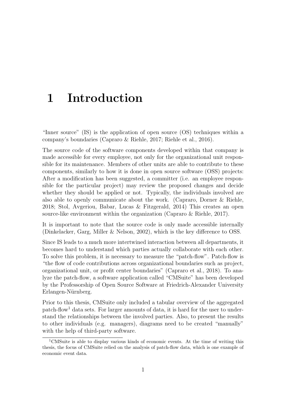# <span id="page-5-0"></span>1 Introduction

"Inner source" (IS) is the application of open source (OS) techniques within a company's boundaries (Capraro & Riehle, [2017;](#page-65-0) Riehle et al., [2016\)](#page-65-1).

The source code of the software components developed within that company is made accessible for every employee, not only for the organizational unit responsible for its maintenance. Members of other units are able to contribute to these components, similarly to how it is done in open source software (OSS) projects: After a modification has been suggested, a committer (i.e. an employee responsible for the particular project) may review the proposed changes and decide whether they should be applied or not. Typically, the individuals involved are also able to openly communicate about the work. (Capraro, Dorner & Riehle, [2018;](#page-65-3) Stol, Avgeriou, Babar, Lucas & Fitzgerald, [2014\)](#page-65-4) This creates an open source-like environment within the organization (Capraro & Riehle, [2017\)](#page-65-0).

It is important to note that the source code is only made accessible internally (Dinkelacker, Garg, Miller & Nelson, [2002\)](#page-65-5), which is the key difference to OSS.

Since IS leads to a much more intertwined interaction between all departments, it becomes hard to understand which parties actually collaborate with each other. To solve this problem, it is necessary to measure the "patch-flow". Patch-flow is "the flow of code contributions across organizational boundaries such as project, organizational unit, or profit center boundaries" (Capraro et al., [2018\)](#page-65-3). To analyze the patch-flow, a software application called "CMSuite" has been developed by the Professorship of Open Source Software at Friedrich-Alexander University Erlangen-Nürnberg.

Prior to this thesis, CMSuite only included a tabular overview of the aggregated  $p$ atch-flow<sup>[1](#page-0-0)</sup> data sets. For larger amounts of data, it is hard for the user to understand the relationships between the involved parties. Also, to present the results to other individuals (e.g. managers), diagrams need to be created "manually" with the help of third-party software.

<sup>1</sup>CMSuite is able to display various kinds of economic events. At the time of writing this thesis, the focus of CMSuite relied on the analysis of patch-flow data, which is one example of economic event data.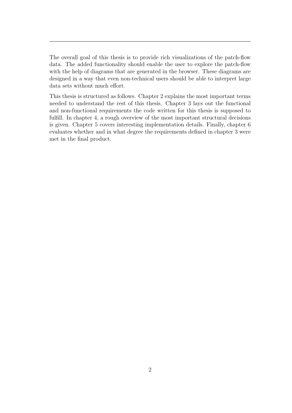The overall goal of this thesis is to provide rich visualizations of the patch-flow data. The added functionality should enable the user to explore the patch-flow with the help of diagrams that are generated in the browser. These diagrams are designed in a way that even non-technical users should be able to interpret large data sets without much effort.

This thesis is structured as follows. Chapter [2](#page-7-0) explains the most important terms needed to understand the rest of this thesis. Chapter [3](#page-11-0) lays out the functional and non-functional requirements the code written for this thesis is supposed to fulfill. In chapter [4,](#page-20-0) a rough overview of the most important structural decisions is given. Chapter [5](#page-34-0) covers interesting implementation details. Finally, chapter [6](#page-52-0) evaluates whether and in what degree the requirements defined in chapter [3](#page-11-0) were met in the final product.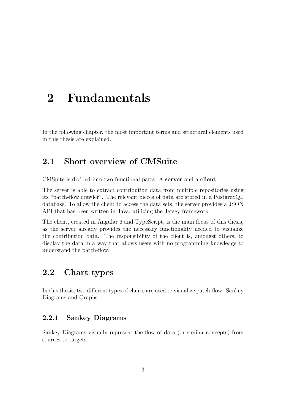# <span id="page-7-0"></span>2 Fundamentals

<span id="page-7-1"></span>In the following chapter, the most important terms and structural elements used in this thesis are explained.

# 2.1 Short overview of CMSuite

CMSuite is divided into two functional parts: A server and a client.

The server is able to extract contribution data from multiple repositories using its "patch-flow crawler". The relevant pieces of data are stored in a PostgreSQL database. To allow the client to access the data sets, the server provides a JSON API that has been written in Java, utilizing the Jersey framework.

The client, created in Angular 6 and TypeScript, is the main focus of this thesis, as the server already provides the necessary functionality needed to visualize the contribution data. The responsibility of the client is, amongst others, to display the data in a way that allows users with no programming knowledge to understand the patch-flow.

# <span id="page-7-2"></span>2.2 Chart types

<span id="page-7-3"></span>In this thesis, two different types of charts are used to visualize patch-flow: Sankey Diagrams and Graphs.

### 2.2.1 Sankey Diagrams

Sankey Diagrams visually represent the flow of data (or similar concepts) from sources to targets.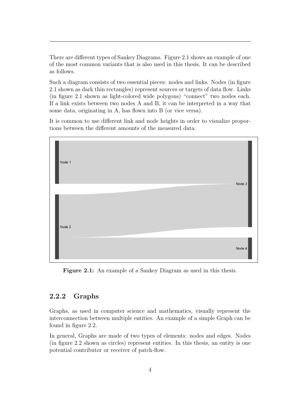There are different types of Sankey Diagrams. Figure [2.1](#page-8-1) shows an example of one of the most common variants that is also used in this thesis. It can be described as follows.

Such a diagram consists of two essential pieces: nodes and links. Nodes (in figure [2.1](#page-8-1) shown as dark thin rectangles) represent sources or targets of data flow. Links (in figure [2.1](#page-8-1) shown as light-colored wide polygons) "connect" two nodes each. If a link exists between two nodes A and B, it can be interpreted in a way that some data, originating in A, has flown into B (or vice versa).

It is common to use different link and node heights in order to visualize proportions between the different amounts of the measured data.

<span id="page-8-1"></span>

| Node 1 | Node 3 |
|--------|--------|
| Node 2 |        |
|        | Node 4 |

Figure 2.1: An example of a Sankey Diagram as used in this thesis.

### <span id="page-8-0"></span>2.2.2 Graphs

Graphs, as used in computer science and mathematics, visually represent the interconnection between multiple entities. An example of a simple Graph can be found in figure [2.2.](#page-9-2)

In general, Graphs are made of two types of elements: nodes and edges. Nodes (in figure [2.2](#page-9-2) shown as circles) represent entities. In this thesis, an entity is one potential contributor or receiver of patch-flow.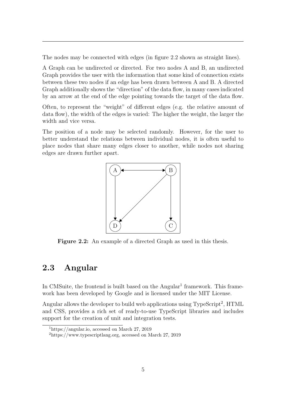The nodes may be connected with edges (in figure [2.2](#page-9-2) shown as straight lines).

A Graph can be undirected or directed. For two nodes A and B, an undirected Graph provides the user with the information that some kind of connection exists between these two nodes if an edge has been drawn between A and B. A directed Graph additionally shows the "direction" of the data flow, in many cases indicated by an arrow at the end of the edge pointing towards the target of the data flow.

Often, to represent the "weight" of different edges (e.g. the relative amount of data flow), the width of the edges is varied: The higher the weight, the larger the width and vice versa.

<span id="page-9-2"></span>The position of a node may be selected randomly. However, for the user to better understand the relations between individual nodes, it is often useful to place nodes that share many edges closer to another, while nodes not sharing edges are drawn further apart.



Figure 2.2: An example of a directed Graph as used in this thesis.

# <span id="page-9-0"></span>2.3 Angular

In CMSuite, the frontend is built based on the  $Angular<sup>1</sup> framework$  $Angular<sup>1</sup> framework$  $Angular<sup>1</sup> framework$ . This framework has been developed by Google and is licensed under the MIT License.

Angular allows the developer to build web applications using TypeScript<sup>[2](#page-0-0)</sup>, HTML and CSS, provides a rich set of ready-to-use TypeScript libraries and includes support for the creation of unit and integration tests.

<span id="page-9-1"></span> $1$ [https://angular.io,](https://angular.io) accessed on March 27, 2019

<sup>2</sup>[https://www.typescriptlang.org,](https://www.typescriptlang.org) accessed on March 27, 2019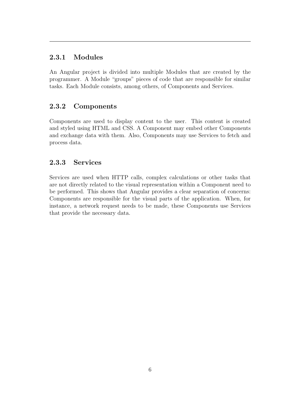## 2.3.1 Modules

An Angular project is divided into multiple Modules that are created by the programmer. A Module "groups" pieces of code that are responsible for similar tasks. Each Module consists, among others, of Components and Services.

## <span id="page-10-0"></span>2.3.2 Components

Components are used to display content to the user. This content is created and styled using HTML and CSS. A Component may embed other Components and exchange data with them. Also, Components may use Services to fetch and process data.

## <span id="page-10-1"></span>2.3.3 Services

Services are used when HTTP calls, complex calculations or other tasks that are not directly related to the visual representation within a Component need to be performed. This shows that Angular provides a clear separation of concerns: Components are responsible for the visual parts of the application. When, for instance, a network request needs to be made, these Components use Services that provide the necessary data.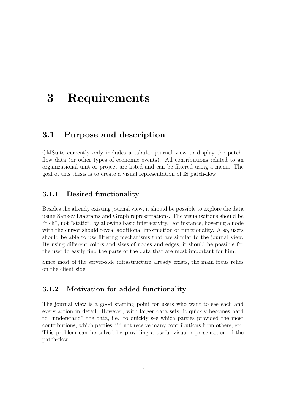# <span id="page-11-0"></span>3 Requirements

## <span id="page-11-1"></span>3.1 Purpose and description

CMSuite currently only includes a tabular journal view to display the patchflow data (or other types of economic events). All contributions related to an organizational unit or project are listed and can be filtered using a menu. The goal of this thesis is to create a visual representation of IS patch-flow.

### <span id="page-11-2"></span>3.1.1 Desired functionality

Besides the already existing journal view, it should be possible to explore the data using Sankey Diagrams and Graph representations. The visualizations should be "rich", not "static", by allowing basic interactivity. For instance, hovering a node with the cursor should reveal additional information or functionality. Also, users should be able to use filtering mechanisms that are similar to the journal view. By using different colors and sizes of nodes and edges, it should be possible for the user to easily find the parts of the data that are most important for him.

<span id="page-11-3"></span>Since most of the server-side infrastructure already exists, the main focus relies on the client side.

## 3.1.2 Motivation for added functionality

<span id="page-11-4"></span>The journal view is a good starting point for users who want to see each and every action in detail. However, with larger data sets, it quickly becomes hard to "understand" the data, i.e. to quickly see which parties provided the most contributions, which parties did not receive many contributions from others, etc. This problem can be solved by providing a useful visual representation of the patch-flow.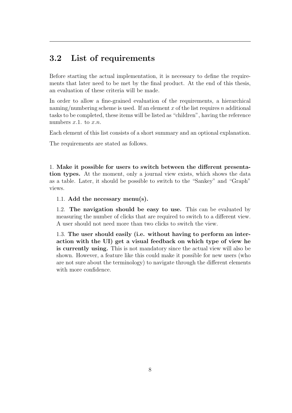# 3.2 List of requirements

Before starting the actual implementation, it is necessary to define the requirements that later need to be met by the final product. At the end of this thesis, an evaluation of these criteria will be made.

In order to allow a fine-grained evaluation of the requirements, a hierarchical naming/numbering scheme is used. If an element x of the list requires n additional tasks to be completed, these items will be listed as "children", having the reference numbers  $x.1$ . to  $x.n$ .

Each element of this list consists of a short summary and an optional explanation.

The requirements are stated as follows.

1. Make it possible for users to switch between the different presentation types. At the moment, only a journal view exists, which shows the data as a table. Later, it should be possible to switch to the "Sankey" and "Graph" views.

1.1. Add the necessary menu(s).

1.2. The navigation should be easy to use. This can be evaluated by measuring the number of clicks that are required to switch to a different view. A user should not need more than two clicks to switch the view.

1.3. The user should easily (i.e. without having to perform an interaction with the UI) get a visual feedback on which type of view he is currently using. This is not mandatory since the actual view will also be shown. However, a feature like this could make it possible for new users (who are not sure about the terminology) to navigate through the different elements with more confidence.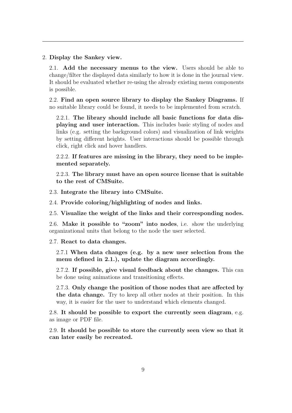2. Display the Sankey view.

2.1. Add the necessary menus to the view. Users should be able to change/filter the displayed data similarly to how it is done in the journal view. It should be evaluated whether re-using the already existing menu components is possible.

2.2. Find an open source library to display the Sankey Diagrams. If no suitable library could be found, it needs to be implemented from scratch.

2.2.1. The library should include all basic functions for data displaying and user interaction. This includes basic styling of nodes and links (e.g. setting the background colors) and visualization of link weights by setting different heights. User interactions should be possible through click, right click and hover handlers.

2.2.2. If features are missing in the library, they need to be implemented separately.

2.2.3. The library must have an open source license that is suitable to the rest of CMSuite.

2.3. Integrate the library into CMSuite.

2.4. Provide coloring/highlighting of nodes and links.

2.5. Visualize the weight of the links and their corresponding nodes.

2.6. Make it possible to "zoom" into nodes, i.e. show the underlying organizational units that belong to the node the user selected.

2.7. React to data changes.

2.7.1 When data changes (e.g. by a new user selection from the menu defined in 2.1.), update the diagram accordingly.

2.7.2. If possible, give visual feedback about the changes. This can be done using animations and transitioning effects.

2.7.3. Only change the position of those nodes that are affected by the data change. Try to keep all other nodes at their position. In this way, it is easier for the user to understand which elements changed.

2.8. It should be possible to export the currently seen diagram, e.g. as image or PDF file.

2.9. It should be possible to store the currently seen view so that it can later easily be recreated.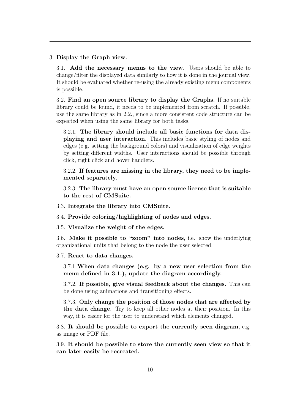#### 3. Display the Graph view.

3.1. Add the necessary menus to the view. Users should be able to change/filter the displayed data similarly to how it is done in the journal view. It should be evaluated whether re-using the already existing menu components is possible.

3.2. Find an open source library to display the Graphs. If no suitable library could be found, it needs to be implemented from scratch. If possible, use the same library as in 2.2., since a more consistent code structure can be expected when using the same library for both tasks.

3.2.1. The library should include all basic functions for data displaying and user interaction. This includes basic styling of nodes and edges (e.g. setting the background colors) and visualization of edge weights by setting different widths. User interactions should be possible through click, right click and hover handlers.

3.2.2. If features are missing in the library, they need to be implemented separately.

3.2.3. The library must have an open source license that is suitable to the rest of CMSuite.

3.3. Integrate the library into CMSuite.

3.4. Provide coloring/highlighting of nodes and edges.

3.5. Visualize the weight of the edges.

3.6. Make it possible to "zoom" into nodes, i.e. show the underlying organizational units that belong to the node the user selected.

3.7. React to data changes.

3.7.1 When data changes (e.g. by a new user selection from the menu defined in 3.1.), update the diagram accordingly.

3.7.2. If possible, give visual feedback about the changes. This can be done using animations and transitioning effects.

3.7.3. Only change the position of those nodes that are affected by the data change. Try to keep all other nodes at their position. In this way, it is easier for the user to understand which elements changed.

3.8. It should be possible to export the currently seen diagram, e.g. as image or PDF file.

3.9. It should be possible to store the currently seen view so that it can later easily be recreated.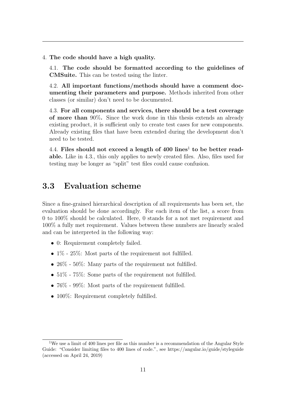4. The code should have a high quality.

4.1. The code should be formatted according to the guidelines of CMSuite. This can be tested using the linter.

4.2. All important functions/methods should have a comment documenting their parameters and purpose. Methods inherited from other classes (or similar) don't need to be documented.

4.3. For all components and services, there should be a test coverage of more than 90%. Since the work done in this thesis extends an already existing product, it is sufficient only to create test cases for new components. Already existing files that have been extended during the development don't need to be tested.

4.4. Files should not exceed a length of  $400$  lines<sup>[1](#page-0-0)</sup> to be better readable. Like in 4.3., this only applies to newly created files. Also, files used for testing may be longer as "split" test files could cause confusion.

# <span id="page-15-0"></span>3.3 Evaluation scheme

Since a fine-grained hierarchical description of all requirements has been set, the evaluation should be done accordingly. For each item of the list, a score from 0 to 100% should be calculated. Here, 0 stands for a not met requirement and 100% a fully met requirement. Values between these numbers are linearly scaled and can be interpreted in the following way:

- 0: Requirement completely failed.
- $1\%$   $25\%$ : Most parts of the requirement not fulfilled.
- 26\% 50\%: Many parts of the requirement not fulfilled.
- $51\%$   $75\%$ : Some parts of the requirement not fulfilled.
- 76\% 99\%: Most parts of the requirement fulfilled.
- 100%: Requirement completely fulfilled.

<sup>&</sup>lt;sup>1</sup>We use a limit of 400 lines per file as this number is a recommendation of the Angular Style Guide: "Consider limiting files to 400 lines of code.", see<https://angular.io/guide/styleguide> (accessed on April 24, 2019)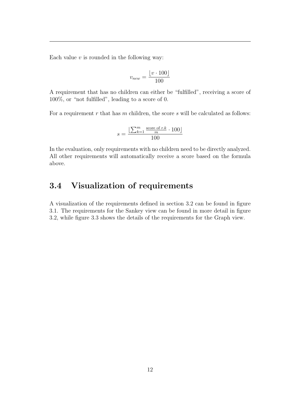Each value  $v$  is rounded in the following way:

$$
v_{new} = \frac{\lfloor v \cdot 100 \rfloor}{100}
$$

A requirement that has no children can either be "fulfilled", receiving a score of 100%, or "not fulfilled", leading to a score of 0.

For a requirement  $r$  that has  $m$  children, the score  $s$  will be calculated as follows:

$$
s = \frac{\left[\sum_{k=1}^{m} \frac{\text{score of } r.k}{m} \cdot 100\right]}{100}
$$

In the evaluation, only requirements with no children need to be directly analyzed. All other requirements will automatically receive a score based on the formula above.

# <span id="page-16-0"></span>3.4 Visualization of requirements

A visualization of the requirements defined in section [3.2](#page-11-4) can be found in figure [3.1.](#page-17-0) The requirements for the Sankey view can be found in more detail in figure [3.2,](#page-18-0) while figure [3.3](#page-19-0) shows the details of the requirements for the Graph view.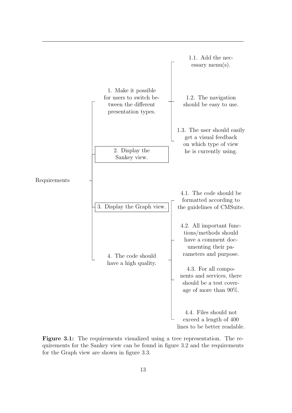<span id="page-17-0"></span>

Figure 3.1: The requirements visualized using a tree representation. The requirements for the Sankey view can be found in figure [3.2](#page-18-0) and the requirements for the Graph view are shown in figure [3.3.](#page-19-0)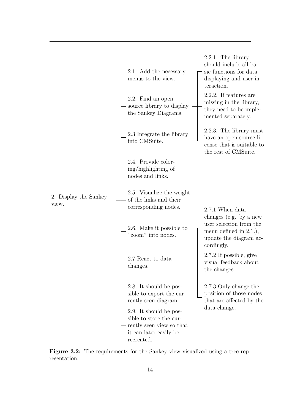<span id="page-18-0"></span>

Figure 3.2: The requirements for the Sankey view visualized using a tree representation.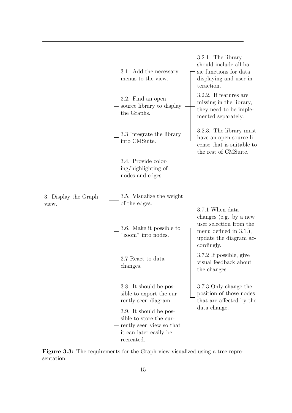<span id="page-19-0"></span>

|                               | 3.1. Add the necessary<br>menus to the view.                                                                                                                                                        | $3.2.1$ . The library<br>should include all ba-<br>sic functions for data<br>displaying and user in-<br>teraction.                        |
|-------------------------------|-----------------------------------------------------------------------------------------------------------------------------------------------------------------------------------------------------|-------------------------------------------------------------------------------------------------------------------------------------------|
|                               | 3.2. Find an open<br>source library to display<br>the Graphs.                                                                                                                                       | 3.2.2. If features are<br>missing in the library,<br>they need to be imple-<br>mented separately.                                         |
|                               | 3.3 Integrate the library<br>into CMSuite.                                                                                                                                                          | 3.2.3. The library must<br>have an open source li-<br>cense that is suitable to<br>the rest of CMSuite.                                   |
|                               | 3.4. Provide color-<br>ing/highlighting of<br>nodes and edges.                                                                                                                                      |                                                                                                                                           |
| 3. Display the Graph<br>view. | 3.5. Visualize the weight<br>of the edges.                                                                                                                                                          |                                                                                                                                           |
|                               | 3.6. Make it possible to<br>"zoom" into nodes.                                                                                                                                                      | 3.7.1 When data<br>changes (e.g. by a new<br>user selection from the<br>menu defined in $3.1$ .),<br>update the diagram ac-<br>cordingly. |
|                               | 3.7 React to data<br>changes.                                                                                                                                                                       | 3.7.2 If possible, give<br>visual feedback about<br>the changes.                                                                          |
|                               | 3.8. It should be pos-<br>sible to export the cur-<br>rently seen diagram.<br>3.9. It should be pos-<br>sible to store the cur-<br>rently seen view so that<br>it can later easily be<br>recreated. | 3.7.3 Only change the<br>position of those nodes<br>that are affected by the<br>data change.                                              |

Figure 3.3: The requirements for the Graph view visualized using a tree representation.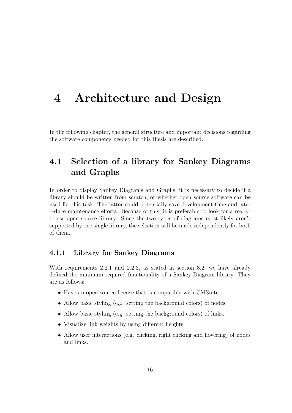# <span id="page-20-0"></span>4 Architecture and Design

<span id="page-20-1"></span>In the following chapter, the general structure and important decisions regarding the software components needed for this thesis are described.

# 4.1 Selection of a library for Sankey Diagrams and Graphs

In order to display Sankey Diagrams and Graphs, it is necessary to decide if a library should be written from scratch, or whether open source software can be used for this task. The latter could potentially save development time and later reduce maintenance efforts. Because of this, it is preferable to look for a readyto-use open source library. Since the two types of diagrams most likely aren't supported by one single library, the selection will be made independently for both of them.

## <span id="page-20-2"></span>4.1.1 Library for Sankey Diagrams

With requirements 2.2.1 and 2.2.3, as stated in section [3.2,](#page-11-4) we have already defined the minimum required functionality of a Sankey Diagram library. They are as follows:

- Have an open source license that is compatible with CMSuite.
- Allow basic styling (e.g. setting the background colors) of nodes.
- Allow basic styling (e.g. setting the background colors) of links.
- Visualize link weights by using different heights.
- Allow user interactions (e.g. clicking, right clicking and hovering) of nodes and links.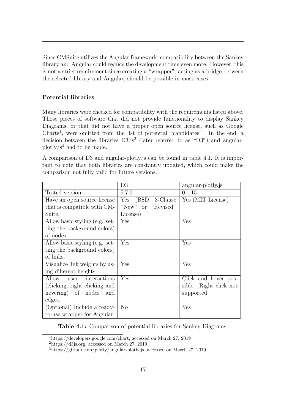Since CMSuite utilizes the Angular framework, compatibility between the Sankey library and Angular could reduce the development time even more. However, this is not a strict requirement since creating a "wrapper", acting as a bridge between the selected library and Angular, should be possible in most cases.

### Potential libraries

Many libraries were checked for compatibility with the requirements listed above. Those pieces of software that did not provide functionality to display Sankey Diagrams, or that did not have a proper open source license, such as Google Charts<sup>[1](#page-0-0)</sup>, were omitted from the list of potential "candidates". In the end, a decision between the libraries  $D3.js<sup>2</sup>$  $D3.js<sup>2</sup>$  $D3.js<sup>2</sup>$  (later referred to as "D3") and angularplotly.js[3](#page-0-0) had to be made.

A comparison of D3 and angular-plotly.js can be found in table [4.1.](#page-21-0) It is important to note that both libraries are constantly updated, which could make the comparison not fully valid for future versions.

<span id="page-21-0"></span>

|                                | D3                    | angular-plotly.js      |
|--------------------------------|-----------------------|------------------------|
| Tested version                 | 5.7.0                 | 0.1.15                 |
| Have an open source license    | Yes<br>(BSD 3-Clause) | Yes (MIT License)      |
| that is compatible with CM-    | "New" or "Revised"    |                        |
| Suite.                         | License)              |                        |
| Allow basic styling (e.g. set- | Yes                   | Yes                    |
| ting the background colors)    |                       |                        |
| of nodes.                      |                       |                        |
| Allow basic styling (e.g. set- | Yes                   | Yes                    |
| ting the background colors)    |                       |                        |
| of links.                      |                       |                        |
| Visualize link weights by us-  | Yes                   | Yes                    |
| ing different heights.         |                       |                        |
| interactions<br>Allow<br>user  | Yes                   | Click and hover pos-   |
| (clicking, right clicking and  |                       | sible. Right click not |
| hovering) of nodes<br>and      |                       | supported.             |
| edges.                         |                       |                        |
| (Optional) Include a ready-    | N <sub>o</sub>        | Yes                    |
| to-use wrapper for Angular.    |                       |                        |

Table 4.1: Comparison of potential libraries for Sankey Diagrams.

<sup>1</sup>[https://developers.google.com/chart,](https://developers.google.com/chart) accessed on March 27, 2019

 $\frac{2 \text{https://d3js.org}}{2}$ , accessed on March 27, 2019

<sup>3</sup>[https://github.com/plotly/angular-plotly.js,](https://github.com/plotly/angular-plotly.js) accessed on March 27, 2019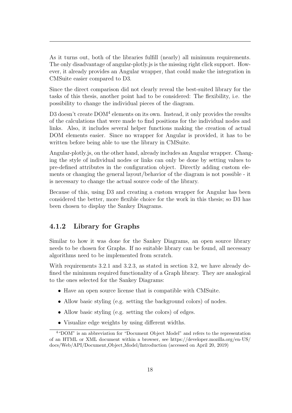As it turns out, both of the libraries fulfill (nearly) all minimum requirements. The only disadvantage of angular-plotly.js is the missing right click support. However, it already provides an Angular wrapper, that could make the integration in CMSuite easier compared to D3.

Since the direct comparison did not clearly reveal the best-suited library for the tasks of this thesis, another point had to be considered: The flexibility, i.e. the possibility to change the individual pieces of the diagram.

D3 doesn't create DOM<sup>[4](#page-0-0)</sup> elements on its own. Instead, it only provides the results of the calculations that were made to find positions for the individual nodes and links. Also, it includes several helper functions making the creation of actual DOM elements easier. Since no wrapper for Angular is provided, it has to be written before being able to use the library in CMSuite.

Angular-plotly.js, on the other hand, already includes an Angular wrapper. Changing the style of individual nodes or links can only be done by setting values to pre-defined attributes in the configuration object. Directly adding custom elements or changing the general layout/behavior of the diagram is not possible - it is necessary to change the actual source code of the library.

Because of this, using D3 and creating a custom wrapper for Angular has been considered the better, more flexible choice for the work in this thesis; so D3 has been chosen to display the Sankey Diagrams.

## <span id="page-22-0"></span>4.1.2 Library for Graphs

Similar to how it was done for the Sankey Diagrams, an open source library needs to be chosen for Graphs. If no suitable library can be found, all necessary algorithms need to be implemented from scratch.

With requirements 3.2.1 and 3.2.3, as stated in section [3.2,](#page-11-4) we have already defined the minimum required functionality of a Graph library. They are analogical to the ones selected for the Sankey Diagrams:

- Have an open source license that is compatible with CMSuite.
- Allow basic styling (e.g. setting the background colors) of nodes.
- Allow basic styling (e.g. setting the colors) of edges.
- Visualize edge weights by using different widths.

<sup>4</sup>"DOM" is an abbreviation for "Document Object Model" and refers to the representation of an HTML or XML document within a browser, see [https://developer.mozilla.org/en-US/](https://developer.mozilla.org/en-US/docs/Web/API/Document_Object_Model/Introduction) [docs/Web/API/Document](https://developer.mozilla.org/en-US/docs/Web/API/Document_Object_Model/Introduction) Object Model/Introduction (accessed on April 20, 2019)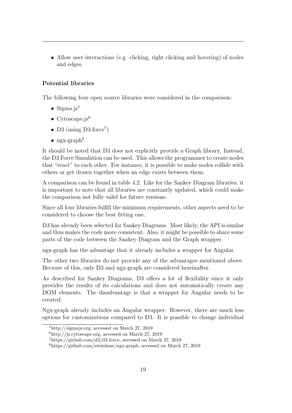• Allow user interactions (e.g. clicking, right clicking and hovering) of nodes and edges.

## Potential libraries

The following four open source libraries were considered in the comparison:

- Sigma.js $^5$  $^5$
- Cytoscape.js $6$
- D3 (using D3-force<sup>[7](#page-0-0)</sup>)
- ngx-graph<sup>[8](#page-0-0)</sup>

It should be noted that D3 does not explicitly provide a Graph library. Instead, the D3 Force Simulation can be used. This allows the programmer to create nodes that "react" to each other. For instance, it is possible to make nodes collide with others or get drawn together when an edge exists between them.

A comparison can be found in table [4.2.](#page-24-1) Like for the Sankey Diagram libraries, it is important to note that all libraries are constantly updated, which could make the comparison not fully valid for future versions.

Since all four libraries fulfill the minimum requirements, other aspects need to be considered to choose the best fitting one.

D3 has already been selected for Sankey Diagrams. Most likely, the API is similar and thus makes the code more consistent. Also, it might be possible to share some parts of the code between the Sankey Diagram and the Graph wrapper.

ngx-graph has the advantage that it already includes a wrapper for Angular.

The other two libraries do not provide any of the advantages mentioned above. Because of this, only D3 and ngx-graph are considered hereinafter.

As described for Sankey Diagrams, D3 offers a lot of flexibility since it only provides the results of its calculations and does not automatically create any DOM elements. The disadvantage is that a wrapper for Angular needs to be created.

Ngx-graph already includes an Angular wrapper. However, there are much less options for customizations compared to D3. It is possible to change individual

<sup>5</sup>[http://sigmajs.org,](http://sigmajs.org) accessed on March 27, 2019

 $6$ [http://js.cytoscape.org,](http://js.cytoscape.org) accessed on March 27, 2019

<sup>7</sup>[https://github.com/d3/d3-force,](https://github.com/d3/d3-force) accessed on March 27, 2019

<sup>8</sup>[https://github.com/swimlane/ngx-graph,](https://github.com/swimlane/ngx-graph) accessed on March 27, 2019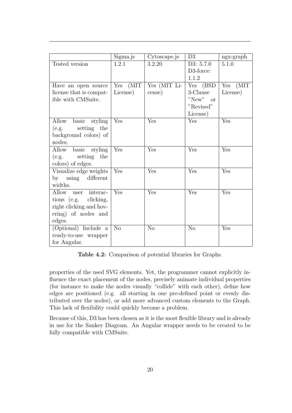<span id="page-24-1"></span>

|                           | Sigma.js    | Cytoscape.js | D3             | $ngx-graph$  |
|---------------------------|-------------|--------------|----------------|--------------|
| Tested version            | 1.2.1       | 3.2.20       | D3: 5.7.0      | 5.1.0        |
|                           |             |              | D3-force:      |              |
|                           |             |              | 1.1.2          |              |
| Have an open source       | (MIT<br>Yes | Yes (MIT Li- | Yes (BSD       | (MIT)<br>Yes |
| license that is compat-   | License)    | cense)       | 3-Clause       | License)     |
| ible with CMSuite.        |             |              | $"New"$ or     |              |
|                           |             |              | "Revised"      |              |
|                           |             |              | License)       |              |
| basic<br>styling<br>Allow | Yes         | Yes          | Yes            | Yes          |
| setting the<br>(e.g.      |             |              |                |              |
| background colors) of     |             |              |                |              |
| nodes.                    |             |              |                |              |
| Allow<br>basic styling    | Yes         | Yes          | Yes            | Yes          |
| setting<br>the<br>(e.g.   |             |              |                |              |
| colors) of edges.         |             |              |                |              |
| Visualize edge weights    | Yes         | Yes          | Yes            | Yes          |
| using<br>different<br>by  |             |              |                |              |
| widths.                   |             |              |                |              |
| Allow<br>interac-<br>user | Yes         | Yes          | Yes            | Yes          |
| tions (e.g.<br>clicking,  |             |              |                |              |
| right clicking and hov-   |             |              |                |              |
| ering) of nodes and       |             |              |                |              |
| edges.                    |             |              |                |              |
| (Optional) Include a      | No          | No           | N <sub>o</sub> | Yes          |
| ready-to-use wrapper      |             |              |                |              |
| for Angular.              |             |              |                |              |

Table 4.2: Comparison of potential libraries for Graphs.

properties of the used SVG elements. Yet, the programmer cannot explicitly influence the exact placement of the nodes, precisely animate individual properties (for instance to make the nodes visually "collide" with each other), define how edges are positioned (e.g. all starting in one pre-defined point or evenly distributed over the nodes), or add more advanced custom elements to the Graph. This lack of flexibility could quickly become a problem.

<span id="page-24-0"></span>Because of this, D3 has been chosen as it is the most flexible library and is already in use for the Sankey Diagram. An Angular wrapper needs to be created to be fully compatible with CMSuite.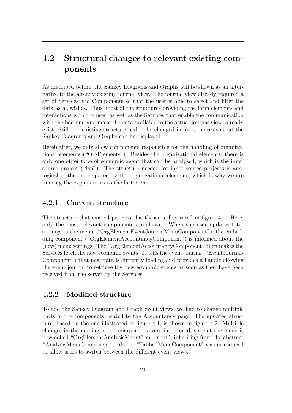# 4.2 Structural changes to relevant existing components

As described before, the Sankey Diagrams and Graphs will be shown as an alternative to the already existing journal view. The journal view already required a set of Services and Components so that the user is able to select and filter the data as he wishes. Thus, most of the structures providing the form elements and interactions with the user, as well as the Services that enable the communication with the backend and make the data available to the actual journal view, already exist. Still, the existing structure had to be changed in many places so that the Sankey Diagrams and Graphs can be displayed.

Hereinafter, we only show components responsible for the handling of organizational elements ("OrgElements"). Besides the organizational elements, there is only one other type of economic agent that can be analyzed, which is the inner source project ("Isp"). The structure needed for inner source projects is analogical to the one required by the organizational elements, which is why we are limiting the explanations to the latter one.

### <span id="page-25-0"></span>4.2.1 Current structure

The structure that existed prior to this thesis is illustrated in figure [4.1.](#page-26-1) Here, only the most relevant components are shown. When the user updates filter settings in the menu ("OrgElementEventJournalMenuComponent"), the embedding component ("OrgElementAccountancyComponent") is informed about the (new) menu settings. The "OrgElementAccountancyComponent" then makes the Services fetch the new economic events. It tells the event journal ("EventJournal-Component") that new data is currently loading and provides a handle allowing the event journal to retrieve the new economic events as soon as they have been received from the server by the Services.

### <span id="page-25-1"></span>4.2.2 Modified structure

To add the Sankey Diagram and Graph event views, we had to change multiple parts of the components related to the Accountancy page. The updated structure, based on the one illustrated in figure [4.1,](#page-26-1) is shown in figure [4.2.](#page-27-0) Multiple changes in the naming of the components were introduced, so that the menu is now called "OrgElementAnalysisMenuComponent", inheriting from the abstract "AnalysisMenuComponent". Also, a "TabbedMenuComponent" was introduced to allow users to switch between the different event views.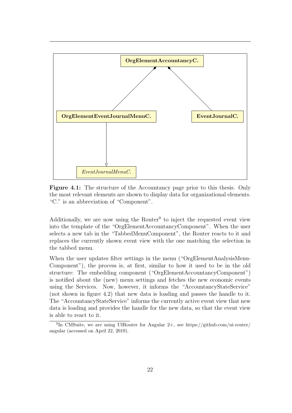<span id="page-26-1"></span>

Figure 4.1: The structure of the Accountancy page prior to this thesis. Only the most relevant elements are shown to display data for organizational elements. "C." is an abbreviation of "Component".

Additionally, we are now using the Router<sup>[9](#page-0-0)</sup> to inject the requested event view into the template of the "OrgElementAccountancyComponent". When the user selects a new tab in the "TabbedMenuComponent", the Router reacts to it and replaces the currently shown event view with the one matching the selection in the tabbed menu.

When the user updates filter settings in the menu ("OrgElementAnalysisMenu-Component"), the process is, at first, similar to how it used to be in the old structure: The embedding component ("OrgElementAccountancyComponent") is notified about the (new) menu settings and fetches the new economic events using the Services. Now, however, it informs the "AccountancyStateService" (not shown in figure [4.2\)](#page-27-0) that new data is loading and passes the handle to it. The "AccountancyStateService" informs the currently active event view that new data is loading and provides the handle for the new data, so that the event view is able to react to it.

<span id="page-26-0"></span><sup>&</sup>lt;sup>9</sup>In CMSuite, we are using UIRouter for Angular 2+, see [https://github.com/ui-router/](https://github.com/ui-router/angular) [angular](https://github.com/ui-router/angular) (accessed on April 22, 2019).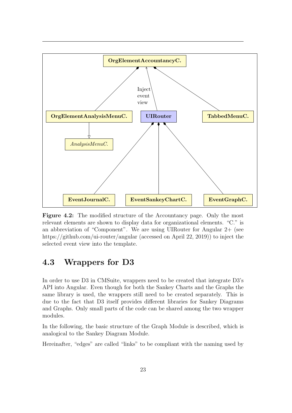<span id="page-27-0"></span>

Figure 4.2: The modified structure of the Accountancy page. Only the most relevant elements are shown to display data for organizational elements. "C." is an abbreviation of "Component". We are using UIRouter for Angular 2+ (see <https://github.com/ui-router/angular> (accessed on April 22, 2019)) to inject the selected event view into the template.

# 4.3 Wrappers for D3

In order to use D3 in CMSuite, wrappers need to be created that integrate D3's API into Angular. Even though for both the Sankey Charts and the Graphs the same library is used, the wrappers still need to be created separately. This is due to the fact that D3 itself provides different libraries for Sankey Diagrams and Graphs. Only small parts of the code can be shared among the two wrapper modules.

In the following, the basic structure of the Graph Module is described, which is analogical to the Sankey Diagram Module.

Hereinafter, "edges" are called "links" to be compliant with the naming used by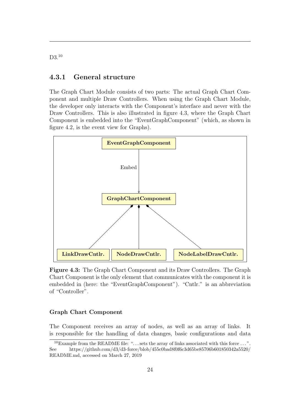## 4.3.1 General structure

The Graph Chart Module consists of two parts: The actual Graph Chart Component and multiple Draw Controllers. When using the Graph Chart Module, the developer only interacts with the Component's interface and never with the Draw Controllers. This is also illustrated in figure [4.3,](#page-28-1) where the Graph Chart Component is embedded into the "EventGraphComponent" (which, as shown in figure [4.2,](#page-27-0) is the event view for Graphs).

<span id="page-28-1"></span>

Figure 4.3: The Graph Chart Component and its Draw Controllers. The Graph Chart Component is the only element that communicates with the component it is embedded in (here: the "EventGraphComponent"). "Cntlr." is an abbreviation of "Controller".

#### Graph Chart Component

The Component receives an array of nodes, as well as an array of links. It is responsible for the handling of data changes, basic configurations and data

<span id="page-28-0"></span>D<sub>3</sub>.[10](#page-0-0)

<sup>&</sup>lt;sup>10</sup>Example from the README file: "... sets the array of links associated with this force ...". See [https://github.com/d3/d3-force/blob/455c0bad8f0f6c3d65be85706b601850342a5520/](https://github.com/d3/d3-force/blob/455c0bad8f0f6c3d65be85706b601850342a5520/README.md) [README.md,](https://github.com/d3/d3-force/blob/455c0bad8f0f6c3d65be85706b601850342a5520/README.md) accessed on March 27, 2019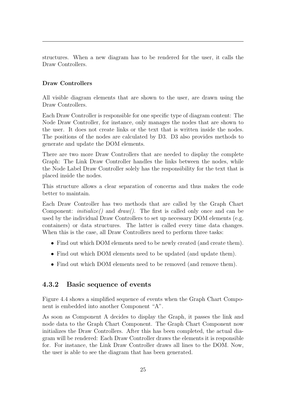structures. When a new diagram has to be rendered for the user, it calls the Draw Controllers.

#### Draw Controllers

All visible diagram elements that are shown to the user, are drawn using the Draw Controllers.

Each Draw Controller is responsible for one specific type of diagram content: The Node Draw Controller, for instance, only manages the nodes that are shown to the user. It does not create links or the text that is written inside the nodes. The positions of the nodes are calculated by D3. D3 also provides methods to generate and update the DOM elements.

There are two more Draw Controllers that are needed to display the complete Graph: The Link Draw Controller handles the links between the nodes, while the Node Label Draw Controller solely has the responsibility for the text that is placed inside the nodes.

This structure allows a clear separation of concerns and thus makes the code better to maintain.

Each Draw Controller has two methods that are called by the Graph Chart Component: *initialize()* and  $draw()$ . The first is called only once and can be used by the individual Draw Controllers to set up necessary DOM elements (e.g. containers) or data structures. The latter is called every time data changes. When this is the case, all Draw Controllers need to perform three tasks:

- Find out which DOM elements need to be newly created (and create them).
- Find out which DOM elements need to be updated (and update them).
- <span id="page-29-0"></span>• Find out which DOM elements need to be removed (and remove them).

### 4.3.2 Basic sequence of events

Figure [4.4](#page-30-1) shows a simplified sequence of events when the Graph Chart Component is embedded into another Component "A".

As soon as Component A decides to display the Graph, it passes the link and node data to the Graph Chart Component. The Graph Chart Component now initializes the Draw Controllers. After this has been completed, the actual diagram will be rendered: Each Draw Controller draws the elements it is responsible for. For instance, the Link Draw Controller draws all lines to the DOM. Now, the user is able to see the diagram that has been generated.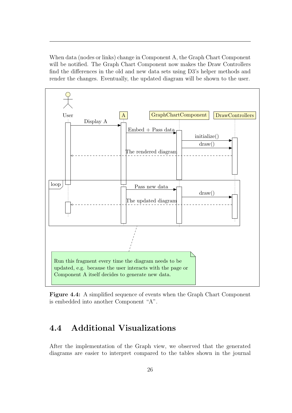When data (nodes or links) change in Component A, the Graph Chart Component will be notified. The Graph Chart Component now makes the Draw Controllers find the differences in the old and new data sets using D3's helper methods and render the changes. Eventually, the updated diagram will be shown to the user.

<span id="page-30-1"></span>

Figure 4.4: A simplified sequence of events when the Graph Chart Component is embedded into another Component "A".

# <span id="page-30-0"></span>4.4 Additional Visualizations

After the implementation of the Graph view, we observed that the generated diagrams are easier to interpret compared to the tables shown in the journal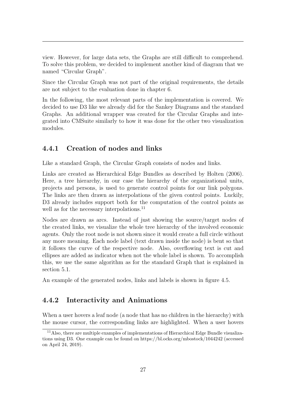view. However, for large data sets, the Graphs are still difficult to comprehend. To solve this problem, we decided to implement another kind of diagram that we named "Circular Graph".

Since the Circular Graph was not part of the original requirements, the details are not subject to the evaluation done in chapter [6.](#page-52-0)

In the following, the most relevant parts of the implementation is covered. We decided to use D3 like we already did for the Sankey Diagrams and the standard Graphs. An additional wrapper was created for the Circular Graphs and integrated into CMSuite similarly to how it was done for the other two visualization modules.

## <span id="page-31-0"></span>4.4.1 Creation of nodes and links

Like a standard Graph, the Circular Graph consists of nodes and links.

Links are created as Hierarchical Edge Bundles as described by Holten [\(2006\)](#page-65-6). Here, a tree hierarchy, in our case the hierarchy of the organizational units, projects and persons, is used to generate control points for our link polygons. The links are then drawn as interpolations of the given control points. Luckily, D3 already includes support both for the computation of the control points as well as for the necessary interpolations.<sup>[11](#page-0-0)</sup>

Nodes are drawn as arcs. Instead of just showing the source/target nodes of the created links, we visualize the whole tree hierarchy of the involved economic agents. Only the root node is not shown since it would create a full circle without any more meaning. Each node label (text drawn inside the node) is bent so that it follows the curve of the respective node. Also, overflowing text is cut and ellipses are added as indicator when not the whole label is shown. To accomplish this, we use the same algorithm as for the standard Graph that is explained in section [5.1.](#page-34-1)

<span id="page-31-1"></span>An example of the generated nodes, links and labels is shown in figure [4.5.](#page-33-0)

## 4.4.2 Interactivity and Animations

When a user hovers a leaf node (a node that has no children in the hierarchy) with the mouse cursor, the corresponding links are highlighted. When a user hovers

<sup>&</sup>lt;sup>11</sup>Also, there are multiple examples of implementations of Hierarchical Edge Bundle visualizations using D3. One example can be found on<https://bl.ocks.org/mbostock/1044242> (accessed on April 24, 2019).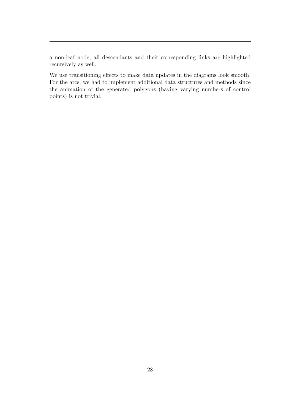a non-leaf node, all descendants and their corresponding links are highlighted recursively as well.

We use transitioning effects to make data updates in the diagrams look smooth. For the arcs, we had to implement additional data structures and methods since the animation of the generated polygons (having varying numbers of control points) is not trivial.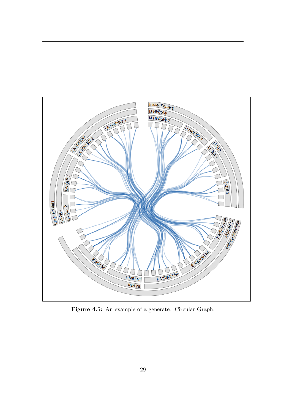<span id="page-33-0"></span>

Figure 4.5: An example of a generated Circular Graph.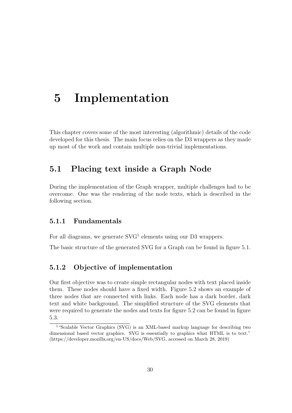# <span id="page-34-0"></span>5 Implementation

This chapter covers some of the most interesting (algorithmic) details of the code developed for this thesis. The main focus relies on the D3 wrappers as they made up most of the work and contain multiple non-trivial implementations.

# <span id="page-34-1"></span>5.1 Placing text inside a Graph Node

During the implementation of the Graph wrapper, multiple challenges had to be overcome. One was the rendering of the node texts, which is described in the following section.

## <span id="page-34-2"></span>5.1.1 Fundamentals

For all diagrams, we generate  $SVG<sup>1</sup>$  $SVG<sup>1</sup>$  $SVG<sup>1</sup>$  elements using our D3 wrappers.

<span id="page-34-3"></span>The basic structure of the generated SVG for a Graph can be found in figure [5.1.](#page-35-1)

### 5.1.2 Objective of implementation

Our first objective was to create simple rectangular nodes with text placed inside them. These nodes should have a fixed width. Figure [5.2](#page-36-0) shows an example of three nodes that are connected with links. Each node has a dark border, dark text and white background. The simplified structure of the SVG elements that were required to generate the nodes and texts for figure [5.2](#page-36-0) can be found in figure [5.3.](#page-37-0)

<span id="page-34-4"></span><sup>&</sup>lt;sup>1</sup>"Scalable Vector Graphics (SVG) is an XML-based markup language for describing two dimensional based vector graphics. SVG is essentially to graphics what HTML is to text." [\(https://developer.mozilla.org/en-US/docs/Web/SVG,](https://developer.mozilla.org/en-US/docs/Web/SVG) accessed on March 28, 2019)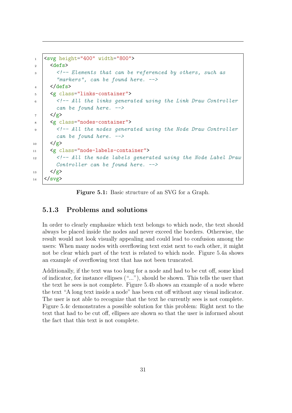```
_1 <svg height="400" width="800">
2 \times defs>
3 <!-- Elements that can be referenced by others, such as
          "markers", can be found here. \rightarrow_4 //defs>
5 <g class="links-container">
6 | \langle -- All the links generated using the Link Draw Controller
         can be found here. -->
7 \mid \langle /g \rangle8 <g class="nodes-container">
9 | \leq | \leq | \leq | \leq | \leq | \leq | \leq | \leq | \leq | \leq | \leq | \leq | \leq | \leq | \leq | \leq | \leq | \leq | \leq | \leq | \leq | \leq | \leq | \leq | \leq | \leq | \leq | \can be found here. -->
_{10} </g>
11 <g class="node-labels-container">
12 <!-- All the node labels generated using the Node Label Draw
         Controller can be found here. \rightarrow_{13} \langle/g \rangle_{14} </svg>
```
Figure 5.1: Basic structure of an SVG for a Graph.

### 5.1.3 Problems and solutions

In order to clearly emphasize which text belongs to which node, the text should always be placed inside the nodes and never exceed the borders. Otherwise, the result would not look visually appealing and could lead to confusion among the users: When many nodes with overflowing text exist next to each other, it might not be clear which part of the text is related to which node. Figure [5.4a](#page-37-1) shows an example of overflowing text that has not been truncated.

<span id="page-35-0"></span>Additionally, if the text was too long for a node and had to be cut off, some kind of indicator, for instance ellipses ("..."), should be shown. This tells the user that the text he sees is not complete. Figure [5.4b](#page-37-2) shows an example of a node where the text "A long text inside a node" has been cut off without any visual indicator. The user is not able to recognize that the text he currently sees is not complete. Figure [5.4c](#page-37-3) demonstrates a possible solution for this problem: Right next to the text that had to be cut off, ellipses are shown so that the user is informed about the fact that this text is not complete.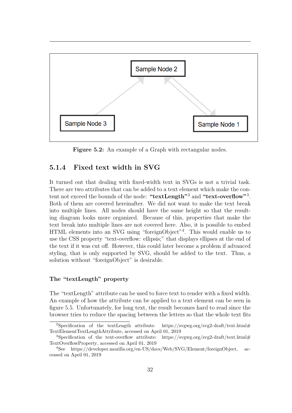<span id="page-36-0"></span>

Figure 5.2: An example of a Graph with rectangular nodes.

## 5.1.4 Fixed text width in SVG

It turned out that dealing with fixed-width text in SVGs is not a trivial task. There are two attributes that can be added to a text element which make the con-tent not exceed the bounds of the node: "textLength"<sup>[2](#page-0-0)</sup> and "text-overflow"<sup>[3](#page-0-0)</sup>. Both of them are covered hereinafter. We did not want to make the text break into multiple lines. All nodes should have the same height so that the resulting diagram looks more organized. Because of this, properties that make the text break into multiple lines are not covered here. Also, it is possible to embed HTML elements into an SVG using "foreignObject"[4](#page-0-0) . This would enable us to use the CSS property "text-overflow: ellipsis;" that displays ellipses at the end of the text if it was cut off. However, this could later become a problem if advanced styling, that is only supported by SVG, should be added to the text. Thus, a solution without "foreignObject" is desirable.

#### The "textLength" property

The "textLength" attribute can be used to force text to render with a fixed width. An example of how the attribute can be applied to a text element can be seen in figure [5.5.](#page-38-1) Unfortunately, for long text, the result becomes hard to read since the browser tries to reduce the spacing between the letters so that the whole text fits

<sup>&</sup>lt;sup>2</sup>Specification of the textLength attribute: [https://svgwg.org/svg2-draft/text.html#](https://svgwg.org/svg2-draft/text.html#TextElementTextLengthAttribute) [TextElementTextLengthAttribute,](https://svgwg.org/svg2-draft/text.html#TextElementTextLengthAttribute) accessed on April 01, 2019

<sup>&</sup>lt;sup>3</sup>Specification of the text-overflow attribute: [https://svgwg.org/svg2-draft/text.html#](https://svgwg.org/svg2-draft/text.html#TextOverflowProperty) [TextOverflowProperty,](https://svgwg.org/svg2-draft/text.html#TextOverflowProperty) accessed on April 01, 2019

<sup>4</sup>See [https://developer.mozilla.org/en-US/docs/Web/SVG/Element/foreignObject,](https://developer.mozilla.org/en-US/docs/Web/SVG/Element/foreignObject) accessed on April 01, 2019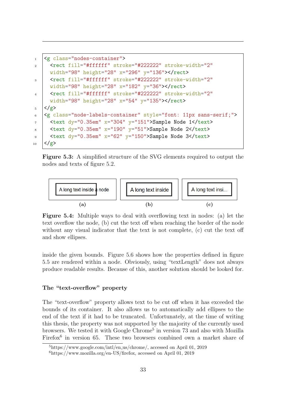```
1 \leq \epsilon class="nodes-container">
2 | <rect fill="#ffffff" stroke="#222222" stroke-width="2"
     width="98" height="28" x="296" y="136"></rect>
3 | <rect fill="#ffffff" stroke="#222222" stroke-width="2"
     width="98" height="28" x="182" y="36"></rect>
4 | <rect fill="#ffffff" stroke="#222222" stroke-width="2"
     width="98" height="28" x="54" y="135"></rect>
5 \mid \langle /g \rangle6 <g class="node-labels-container" style="font: 11px sans-serif;">
7 \mid <text dy="0.35em" x="304" y="151">Sample Node 1</text>
\frac{1}{8} <text dy="0.35em" x="190" y="51">Sample Node 2</text>
9 \vert <text dy="0.35em" x="62" y="150">Sample Node 3</text>
_{10} </g>
```
Figure 5.3: A simplified structure of the SVG elements required to output the nodes and texts of figure [5.2.](#page-36-0)

<span id="page-37-3"></span><span id="page-37-2"></span><span id="page-37-1"></span>

Figure 5.4: Multiple ways to deal with overflowing text in nodes: [\(a\)](#page-37-1) let the text overflow the node, [\(b\)](#page-37-2) cut the text off when reaching the border of the node without any visual indicator that the text is not complete, [\(c\)](#page-37-3) cut the text off and show ellipses.

inside the given bounds. Figure [5.6](#page-38-2) shows how the properties defined in figure [5.5](#page-38-1) are rendered within a node. Obviously, using "textLength" does not always produce readable results. Because of this, another solution should be looked for.

#### The "text-overflow" property

The "text-overflow" property allows text to be cut off when it has exceeded the bounds of its container. It also allows us to automatically add ellipses to the end of the text if it had to be truncated. Unfortunately, at the time of writing this thesis, the property was not supported by the majority of the currently used browsers. We tested it with Google Chrome<sup>[5](#page-0-0)</sup> in version 73 and also with Mozilla Firefox<sup>[6](#page-0-0)</sup> in version 65. These two browsers combined own a market share of

<sup>5</sup>[https://www.google.com/intl/en](https://www.google.com/intl/en_us/chrome/) us/chrome/, accessed on April 01, 2019

 $6$ [https://www.mozilla.org/en-US/firefox,](https://www.mozilla.org/en-US/firefox) accessed on April 01, 2019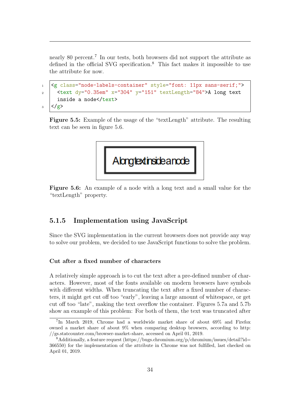nearly 80 percent.<sup>[7](#page-0-0)</sup> In our tests, both browsers did not support the attribute as defined in the official SVG specification.<sup>[8](#page-0-0)</sup> This fact makes it impossible to use the attribute for now.

```
1 <g class="node-labels-container" style="font: 11px sans-serif;">
2 \times \text{text } dy=0.35em" x="304" y="151" textLength="84">A long text
     inside a node</text>
3 \leq/g>
```
Figure 5.5: Example of the usage of the "textLength" attribute. The resulting text can be seen in figure [5.6.](#page-38-2)

<span id="page-38-2"></span>

Figure 5.6: An example of a node with a long text and a small value for the "textLength" property.

## <span id="page-38-0"></span>5.1.5 Implementation using JavaScript

Since the SVG implementation in the current browsers does not provide any way to solve our problem, we decided to use JavaScript functions to solve the problem.

#### Cut after a fixed number of characters

A relatively simple approach is to cut the text after a pre-defined number of characters. However, most of the fonts available on modern browsers have symbols with different widths. When truncating the text after a fixed number of characters, it might get cut off too "early", leaving a large amount of whitespace, or get cut off too "late", making the text overflow the container. Figures [5.7a](#page-39-0) and [5.7b](#page-39-1) show an example of this problem: For both of them, the text was truncated after

<sup>&</sup>lt;sup>7</sup>In March 2019, Chrome had a worldwide market share of about 69% and Firefox owned a market share of about 9% when comparing desktop browsers, according to [http:](http://gs.statcounter.com/browser-market-share) [//gs.statcounter.com/browser-market-share,](http://gs.statcounter.com/browser-market-share) accessed on April 01, 2019.

 $8$ Additionally, a feature request [\(https://bugs.chromium.org/p/chromium/issues/detail?id=](https://bugs.chromium.org/p/chromium/issues/detail?id=366550) [366550\)](https://bugs.chromium.org/p/chromium/issues/detail?id=366550) for the implementation of the attribute in Chrome was not fulfilled, last checked on April 01, 2019.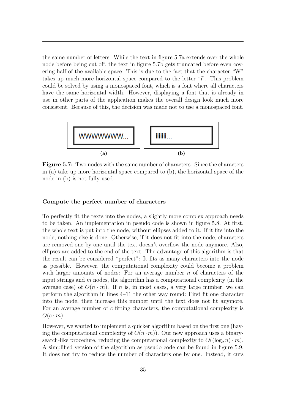the same number of letters. While the text in figure [5.7a](#page-39-0) extends over the whole node before being cut off, the text in figure [5.7b](#page-39-1) gets truncated before even covering half of the available space. This is due to the fact that the character "W" takes up much more horizontal space compared to the letter "i". This problem could be solved by using a monospaced font, which is a font where all characters have the same horizontal width. However, displaying a font that is already in use in other parts of the application makes the overall design look much more consistent. Because of this, the decision was made not to use a monospaced font.

<span id="page-39-1"></span><span id="page-39-0"></span>

Figure 5.7: Two nodes with the same number of characters. Since the characters in [\(a\)](#page-39-0) take up more horizontal space compared to [\(b\),](#page-39-1) the horizontal space of the node in [\(b\)](#page-39-1) is not fully used.

#### Compute the perfect number of characters

To perfectly fit the texts into the nodes, a slightly more complex approach needs to be taken. An implementation in pseudo code is shown in figure [5.8.](#page-40-0) At first, the whole text is put into the node, without ellipses added to it. If it fits into the node, nothing else is done. Otherwise, if it does not fit into the node, characters are removed one by one until the text doesn't overflow the node anymore. Also, ellipses are added to the end of the text. The advantage of this algorithm is that the result can be considered "perfect": It fits as many characters into the node as possible. However, the computational complexity could become a problem with larger amounts of nodes: For an average number  $n$  of characters of the input strings and  $m$  nodes, the algorithm has a computational complexity (in the average case) of  $O(n \cdot m)$ . If n is, in most cases, a very large number, we can perform the algorithm in lines 4–11 the other way round: First fit one character into the node, then increase this number until the text does not fit anymore. For an average number of c fitting characters, the computational complexity is  $O(c \cdot m)$ .

However, we wanted to implement a quicker algorithm based on the first one (having the computational complexity of  $O(n \cdot m)$ . Our new approach uses a binarysearch-like procedure, reducing the computational complexity to  $O((\log_2 n) \cdot m)$ . A simplified version of the algorithm as pseudo code can be found in figure [5.9.](#page-41-0) It does not try to reduce the number of characters one by one. Instead, it cuts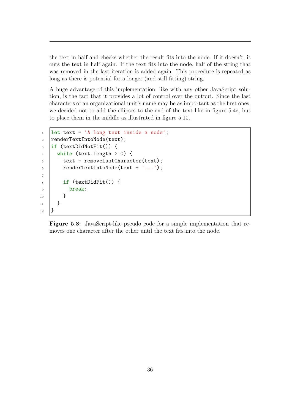the text in half and checks whether the result fits into the node. If it doesn't, it cuts the text in half again. If the text fits into the node, half of the string that was removed in the last iteration is added again. This procedure is repeated as long as there is potential for a longer (and still fitting) string.

A huge advantage of this implementation, like with any other JavaScript solution, is the fact that it provides a lot of control over the output. Since the last characters of an organizational unit's name may be as important as the first ones, we decided not to add the ellipses to the end of the text like in figure [5.4c,](#page-37-3) but to place them in the middle as illustrated in figure [5.10.](#page-41-1)

```
_1 | let text = 'A long text inside a node';
2 | renderTextIntoNode(text);
3 if (textDidNotFit()) {
4 while (text.length > 0) {
5 text = removeLastCharacter(text);
6 renderTextIntoNode(text + '...');
7
8 if (textDidFit()) {
9 break;
10 }
_{11} }
_{12} }
```
Figure 5.8: JavaScript-like pseudo code for a simple implementation that removes one character after the other until the text fits into the node.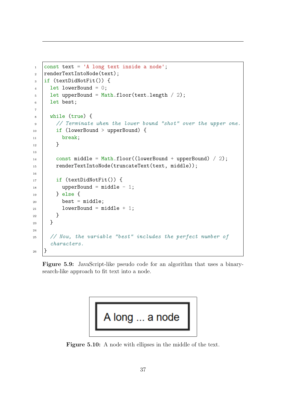```
_1 const text = 'A long text inside a node';
2 \text{ renderTextIntolode}(text);
_3 | if (textDidNotFit()) {
_4 | let lowerBound = 0;
5 let upperBound = Math.floor(text.length / 2);
6 let best;
7
8 while (true) {
9 // Terminate when the lower bound "shot" over the upper one.
10 | if (lowerBound > upperBound) {
11 break:
_{12} }
13
_{14} const middle = Math.floor((lowerBound + upperBound) / 2);
15 | renderTextIntoNode(truncateText(text, middle));
16
_{17} | if (textDidNotFit()) {
_{18} | upperBound = middle - 1;
19 } else {
_{20} best = middle;
_{21} lowerBound = middle + 1;
\frac{22}{ } }
23 }
24
25 // Now, the variable "best" includes the perfect number of
     characters.
_{26} | }
```
Figure 5.9: JavaScript-like pseudo code for an algorithm that uses a binarysearch-like approach to fit text into a node.

<span id="page-41-1"></span>

Figure 5.10: A node with ellipses in the middle of the text.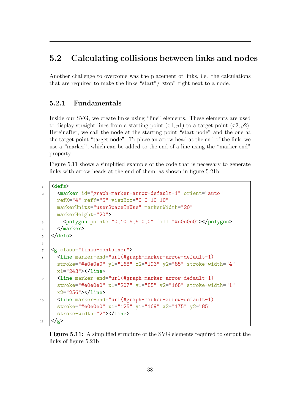# <span id="page-42-0"></span>5.2 Calculating collisions between links and nodes

Another challenge to overcome was the placement of links, i.e. the calculations that are required to make the links "start"/"stop" right next to a node.

## <span id="page-42-1"></span>5.2.1 Fundamentals

Inside our SVG, we create links using "line" elements. These elements are used to display straight lines from a starting point  $(x1, y1)$  to a target point  $(x2, y2)$ . Hereinafter, we call the node at the starting point "start node" and the one at the target point "target node". To place an arrow head at the end of the link, we use a "marker", which can be added to the end of a line using the "marker-end" property.

Figure [5.11](#page-42-3) shows a simplified example of the code that is necessary to generate links with arrow heads at the end of them, as shown in figure [5.21b.](#page-51-0)

```
1 \langledefs>
2 | <marker id="graph-marker-arrow-default-1" orient="auto"
     refX="4" refY="5" viewBox="0 0 10 10"
     markerUnits="userSpaceOnUse" markerWidth="20"
     markerHeight="20">
3 <polygon points="0,10 5,5 0,0" fill="#e0e0e0"></polygon>
_4 </marker>
5 \times / \text{defs}6
7 <g class="links-container">
8 | <line marker-end="url(#graph-marker-arrow-default-1)"
     stroke="#e0e0e0" y1="168" x2="193" y2="85" stroke-width="4"
     x1="243"></line>
9 | <line marker-end="url(#graph-marker-arrow-default-1)"
     stroke="#e0e0e0" x1="207" y1="85" y2="168" stroke-width="1"
     x2="256"></line>
10 | <line marker-end="url(#graph-marker-arrow-default-1)"
     stroke="#e0e0e0" x1="125" y1="169" x2="175" y2="85"
     stroke-width="2"></line>
_{11} </g>
```
<span id="page-42-2"></span>Figure 5.11: A simplified structure of the SVG elements required to output the links of figure [5.21b](#page-51-0)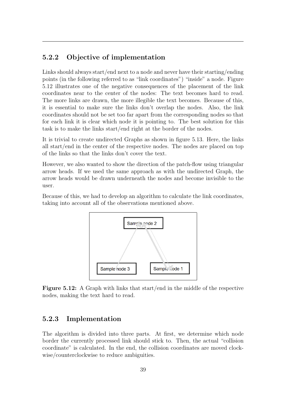## 5.2.2 Objective of implementation

Links should always start/end next to a node and never have their starting/ending points (in the following referred to as "link coordinates") "inside" a node. Figure [5.12](#page-43-1) illustrates one of the negative consequences of the placement of the link coordinates near to the center of the nodes: The text becomes hard to read. The more links are drawn, the more illegible the text becomes. Because of this, it is essential to make sure the links don't overlap the nodes. Also, the link coordinates should not be set too far apart from the corresponding nodes so that for each link it is clear which node it is pointing to. The best solution for this task is to make the links start/end right at the border of the nodes.

It is trivial to create undirected Graphs as shown in figure [5.13.](#page-44-0) Here, the links all start/end in the center of the respective nodes. The nodes are placed on top of the links so that the links don't cover the text.

However, we also wanted to show the direction of the patch-flow using triangular arrow heads. If we used the same approach as with the undirected Graph, the arrow heads would be drawn underneath the nodes and become invisible to the user.

<span id="page-43-1"></span>Because of this, we had to develop an algorithm to calculate the link coordinates, taking into account all of the observations mentioned above.



Figure 5.12: A Graph with links that start/end in the middle of the respective nodes, making the text hard to read.

### <span id="page-43-0"></span>5.2.3 Implementation

The algorithm is divided into three parts. At first, we determine which node border the currently processed link should stick to. Then, the actual "collision coordinate" is calculated. In the end, the collision coordinates are moved clockwise/counterclockwise to reduce ambiguities.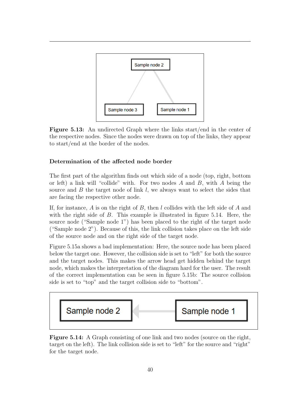<span id="page-44-0"></span>

Figure 5.13: An undirected Graph where the links start/end in the center of the respective nodes. Since the nodes were drawn on top of the links, they appear to start/end at the border of the nodes.

### Determination of the affected node border

The first part of the algorithm finds out which side of a node (top, right, bottom or left) a link will "collide" with. For two nodes  $A$  and  $B$ , with  $A$  being the source and  $B$  the target node of link  $l$ , we always want to select the sides that are facing the respective other node.

If, for instance,  $A$  is on the right of  $B$ , then  $l$  collides with the left side of  $A$  and with the right side of B. This example is illustrated in figure [5.14.](#page-44-1) Here, the source node ("Sample node 1") has been placed to the right of the target node ("Sample node 2"). Because of this, the link collision takes place on the left side of the source node and on the right side of the target node.

Figure [5.15a](#page-45-0) shows a bad implementation: Here, the source node has been placed below the target one. However, the collision side is set to "left" for both the source and the target nodes. This makes the arrow head get hidden behind the target node, which makes the interpretation of the diagram hard for the user. The result of the correct implementation can be seen in figure [5.15b:](#page-45-1) The source collision side is set to "top" and the target collision side to "bottom".

<span id="page-44-1"></span>

Figure 5.14: A Graph consisting of one link and two nodes (source on the right, target on the left). The link collision side is set to "left" for the source and "right" for the target node.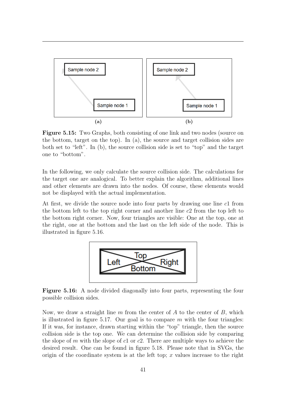<span id="page-45-0"></span>

<span id="page-45-1"></span>Figure 5.15: Two Graphs, both consisting of one link and two nodes (source on the bottom, target on the top). In [\(a\),](#page-45-0) the source and target collision sides are both set to "left". In [\(b\),](#page-45-1) the source collision side is set to "top" and the target one to "bottom".

In the following, we only calculate the source collision side. The calculations for the target one are analogical. To better explain the algorithm, additional lines and other elements are drawn into the nodes. Of course, these elements would not be displayed with the actual implementation.

<span id="page-45-2"></span>At first, we divide the source node into four parts by drawing one line c1 from the bottom left to the top right corner and another line c2 from the top left to the bottom right corner. Now, four triangles are visible: One at the top, one at the right, one at the bottom and the last on the left side of the node. This is illustrated in figure [5.16.](#page-45-2)



Figure 5.16: A node divided diagonally into four parts, representing the four possible collision sides.

Now, we draw a straight line m from the center of  $A$  to the center of  $B$ , which is illustrated in figure [5.17.](#page-46-0) Our goal is to compare  $m$  with the four triangles: If it was, for instance, drawn starting within the "top" triangle, then the source collision side is the top one. We can determine the collision side by comparing the slope of m with the slope of c1 or c2. There are multiple ways to achieve the desired result. One can be found in figure [5.18.](#page-48-0) Please note that in SVGs, the origin of the coordinate system is at the left top;  $x$  values increase to the right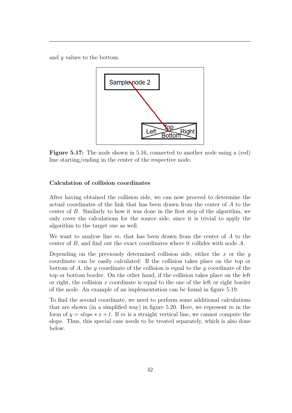<span id="page-46-0"></span>and  $\eta$  values to the bottom.



Figure 5.17: The node shown in [5.16,](#page-45-2) connected to another node using a (red) line starting/ending in the center of the respective node.

#### Calculation of collision coordinates

After having obtained the collision side, we can now proceed to determine the actual coordinates of the link that has been drawn from the center of A to the center of B. Similarly to how it was done in the first step of the algorithm, we only cover the calculations for the source side, since it is trivial to apply the algorithm to the target one as well.

We want to analyze line  $m$ , that has been drawn from the center of  $A$  to the center of B, and find out the exact coordinates where it collides with node A.

Depending on the previously determined collision side, either the  $x$  or the  $y$ coordinate can be easily calculated: If the collision takes place on the top or bottom of A, the y coordinate of the collision is equal to the y coordinate of the top or bottom border. On the other hand, if the collision takes place on the left or right, the collision  $x$  coordinate is equal to the one of the left or right border of the node. An example of an implementation can be found in figure [5.19.](#page-49-0)

To find the second coordinate, we need to perform some additional calculations that are shown (in a simplified way) in figure [5.20.](#page-50-0) Here, we represent  $m$  in the form of  $y = slope * x + t$ . If m is a straight vertical line, we cannot compute the slope. Thus, this special case needs to be treated separately, which is also done below.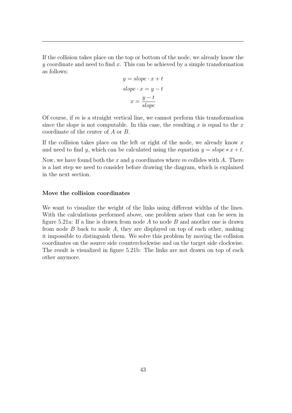If the collision takes place on the top or bottom of the node, we already know the  $y$  coordinate and need to find x. This can be achieved by a simple transformation as follows:

$$
y = slope \cdot x + t
$$

$$
slope \cdot x = y - t
$$

$$
x = \frac{y - t}{slope}
$$

Of course, if  $m$  is a straight vertical line, we cannot perform this transformation since the slope is not computable. In this case, the resulting x is equal to the x coordinate of the center of A or B.

If the collision takes place on the left or right of the node, we already know  $x$ and need to find y, which can be calculated using the equation  $y = slope * x + t$ .

Now, we have found both the x and y coordinates where m collides with A. There is a last step we need to consider before drawing the diagram, which is explained in the next section.

#### Move the collision coordinates

We want to visualize the weight of the links using different widths of the lines. With the calculations performed above, one problem arises that can be seen in figure [5.21a:](#page-51-1) If a line is drawn from node  $A$  to node  $B$  and another one is drawn from node  $B$  back to node  $A$ , they are displayed on top of each other, making it impossible to distinguish them. We solve this problem by moving the collision coordinates on the source side counterclockwise and on the target side clockwise. The result is visualized in figure [5.21b:](#page-51-0) The links are not drawn on top of each other anymore.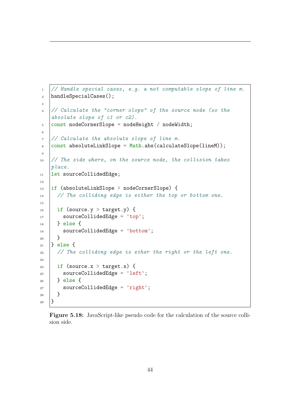```
1 // Handle special cases, e.g. a not computable slope of line m.
2 handleSpecialCases();
3
4 // Calculate the "corner slope" of the source node (so the
   absolute slope of c1 or c2).
5 const nodeCornerSlope = nodeHeight / nodeWidth;
6
7 // Calculate the absolute slope of line m.
\frac{1}{8} const absoluteLinkSlope = Math.abs(calculateSlope(lineM));
9
10 // The side where, on the source node, the collision takes
   place.
11 let sourceCollidedEdge;
12
_{13} |if (absoluteLinkSlope > nodeCornerSlope) {
14 // The colliding edge is either the top or bottom one.
15
_{16} if (source.y > target.y) {
17 SourceCollidedEdge = 'top';
_{18} } else {
19 | sourceCollidedEdge = 'bottom';
20 }
_{21} |} else {
22 // The colliding edge is eiher the right or the left one.
23_{24} if (source.x > target.x) {
25 sourceCollidedEdge = 'left';
_{26} | } else {
27 sourceCollidedEdge = 'right';
28 }
_{29} }
```
Figure 5.18: JavaScript-like pseudo code for the calculation of the source collision side.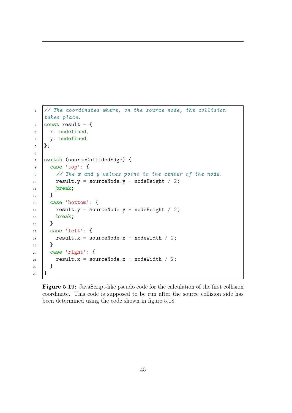```
1 // The coordinates where, on the source node, the collision
   takes place.
\frac{1}{2} const result = {
_3 x: undefined,
4 y: undefined
5 \ \vert \};
6
7 switch (sourceCollidedEdge) {
s | case 'top': {
9 // The x and y values point to the center of the node.
_{10} result.y = sourceNode.y - nodeHeight / 2;
11 break;
_{12} }
_{13} case 'bottom': {
14 result.y = sourceNode.y + nodeHeight / 2;
15 break;
_{16} }
_{17} case 'left': {
18 result.x = sourceNode.x - nodeWidth / 2;
_{19} }
_{20} | case 'right': {
21 | result.x = sourceNode.x + nodeWidth / 2;
22 \mid \}_{23} | }
```
Figure 5.19: JavaScript-like pseudo code for the calculation of the first collision coordinate. This code is supposed to be run after the source collision side has been determined using the code shown in figure [5.18.](#page-48-0)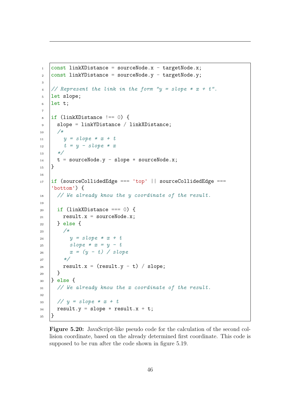```
\frac{1}{1} const linkXDistance = sourceNode.x - targetNode.x;
2 \cdot |\text{const} linkYDistance = sourceNode.y - targetNode.y;
3
\frac{4}{4} // Represent the link in the form "y = slope * x + t".
5 let slope;
6 let t;
7
\overline{\text{B}} if (linkXDistance !== 0) {
9 Slope = linkYDistance / linkXDistance;
10 /*
11 y = slope * x + tt = y - slope * x13 \times /14 t = sourceNode.y - slope * sourceNode.x;
_{15} }
16
_{17} |if (sourceCollidedEdge === 'top' || sourceCollidedEdge ===
    'bottom') {
18 // We already know the y coordinate of the result.
19
_{20} | if (linkXDistance === 0) {
_{21} result.x = sourceNode.x;
_{22} } else {
23 /*
24 y = slope * x + t25 Slope * x = y - tx = (y - t) / slope
27 */
28 result.x = (result.y - t) / slope;
_{29} }
_{30} |} else {
31 // We already know the x coordinate of the result.
32
33 \frac{1}{2} // y = slope * x + t34 result.y = slope * result.x + t;
35 \mid \}
```
Figure 5.20: JavaScript-like pseudo code for the calculation of the second collision coordinate, based on the already determined first coordinate. This code is supposed to be run after the code shown in figure [5.19.](#page-49-0)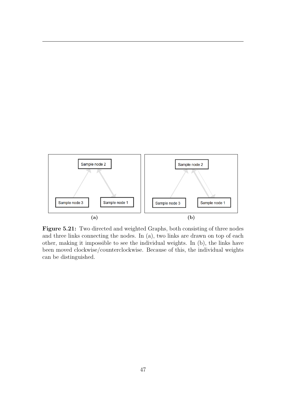<span id="page-51-1"></span>

<span id="page-51-0"></span>Figure 5.21: Two directed and weighted Graphs, both consisting of three nodes and three links connecting the nodes. In [\(a\),](#page-51-1) two links are drawn on top of each other, making it impossible to see the individual weights. In [\(b\),](#page-51-0) the links have been moved clockwise/counterclockwise. Because of this, the individual weights can be distinguished.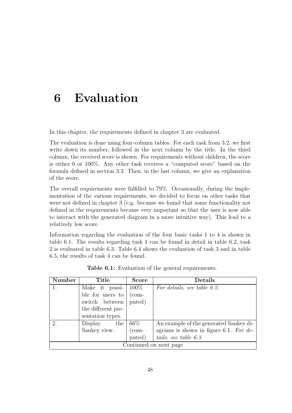# <span id="page-52-0"></span>6 Evaluation

In this chapter, the requirements defined in chapter [3](#page-11-0) are evaluated.

The evaluation is done using four-column tables. For each task from [3.2,](#page-11-4) we first write down its number, followed in the next column by the title. In the third column, the received score is shown. For requirements without children, the score is either 0 or 100%. Any other task receives a "computed score" based on the formula defined in section [3.3.](#page-15-0) Then, in the last column, we give an explanation of the score.

The overall requirements were fulfilled to 79%. Occasionally, during the implementation of the various requirements, we decided to focus on other tasks that were not defined in chapter [3](#page-11-0) (e.g. because we found that some functionality not defined in the requirements became very important so that the user is now able to interact with the generated diagram in a more intuitive way). This lead to a relatively low score.

Information regarding the evaluation of the four basic tasks 1 to 4 is shown in table [6.1.](#page-52-1) The results regarding task 1 can be found in detail in table [6.2,](#page-53-0) task 2 is evaluated in table [6.3.](#page-55-0) Table [6.4](#page-58-0) shows the evaluation of task 3 and in table [6.5,](#page-61-0) the results of task 4 can be found.

<span id="page-52-1"></span>

| Number                 | Title              | <b>Score</b>                    | Details                                |  |
|------------------------|--------------------|---------------------------------|----------------------------------------|--|
|                        | Make it possi-     | $100\%$                         | For details, see table 6.2.            |  |
|                        | ble for users to   | (com-                           |                                        |  |
|                        | switch between     | puted)                          |                                        |  |
|                        | the different pre- |                                 |                                        |  |
|                        | sentation types.   |                                 |                                        |  |
| 2.                     | Display<br>the     | $66\%$                          | An example of the generated Sankey di- |  |
|                        | Sankey view.       | $\frac{\text{com}}{\text{com}}$ | agrams is shown in figure 6.1. For de- |  |
|                        |                    | puted)                          | tails, see table $6.3$ .               |  |
| Continued on next page |                    |                                 |                                        |  |

Table 6.1: Evaluation of the general requirements.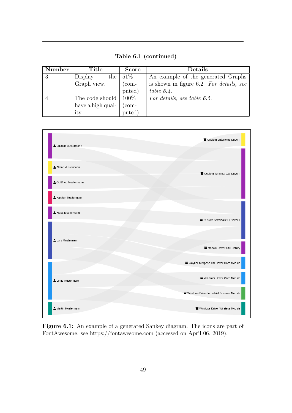Table 6.1 (continued)

| Number | Title             | <b>Score</b>                    | Details                                  |
|--------|-------------------|---------------------------------|------------------------------------------|
| 3.     | the  <br>Display  | $51\%$                          | An example of the generated Graphs       |
|        | Graph view.       | $\frac{\text{com}}{\text{com}}$ | is shown in figure 6.2. For details, see |
|        |                   | puted)                          | table $6.4$ .                            |
|        | The code should   | $100\%$                         | For details, see table 6.5.              |
|        | have a high qual- | com-                            |                                          |
|        | ity.              | puted)                          |                                          |

<span id="page-53-1"></span>

<span id="page-53-0"></span>Figure 6.1: An example of a generated Sankey diagram. The icons are part of FontAwesome, see<https://fontawesome.com> (accessed on April 06, 2019).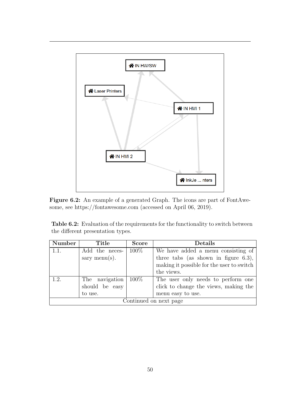<span id="page-54-0"></span>

Figure 6.2: An example of a generated Graph. The icons are part of FontAwesome, see<https://fontawesome.com> (accessed on April 06, 2019).

Table 6.2: Evaluation of the requirements for the functionality to switch between the different presentation types.

| Number                 | Title          | <b>Score</b> | <b>Details</b>                            |
|------------------------|----------------|--------------|-------------------------------------------|
| 1.1.                   | Add the neces- | $100\%$      | We have added a menu consisting of        |
|                        | sary menu(s).  |              | three tabs (as shown in figure $6.3$ ),   |
|                        |                |              | making it possible for the user to switch |
|                        |                |              | the views.                                |
| 1.2                    | The navigation | $100\%$      | The user only needs to perform one        |
|                        | should be easy |              | click to change the views, making the     |
|                        | to use.        |              | menu easy to use.                         |
| Continued on next page |                |              |                                           |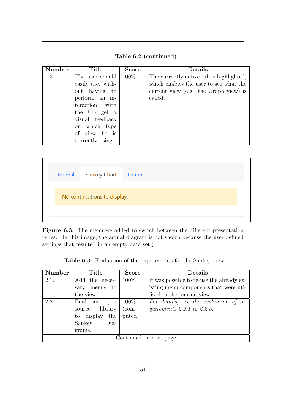Table 6.2 (continued)

| Number | Title              | <b>Score</b> | Details                                  |
|--------|--------------------|--------------|------------------------------------------|
| 1.3.   | The user should    | $100\%$      | The currently active tab is highlighted, |
|        | easily (i.e. with- |              | which enables the user to see what the   |
|        | out having to      |              | current view (e.g. the Graph view) is    |
|        | perform an in-     |              | called.                                  |
|        | teraction with     |              |                                          |
|        | the UI) get a      |              |                                          |
|        | visual feedback    |              |                                          |
|        | on which type      |              |                                          |
|        | of view he is      |              |                                          |
|        | currently using.   |              |                                          |

<span id="page-55-1"></span>

| Journal                      | Sankey Chart Graph |  |  |  |  |
|------------------------------|--------------------|--|--|--|--|
| No contributions to display. |                    |  |  |  |  |
|                              |                    |  |  |  |  |

Figure 6.3: The menu we added to switch between the different presentation types. (In this image, the actual diagram is not shown because the user defined settings that resulted in an empty data set.)

Table 6.3: Evaluation of the requirements for the Sankey view.

<span id="page-55-0"></span>

| <b>Number</b>          | Title           | <b>Score</b>                    | Details                                   |  |
|------------------------|-----------------|---------------------------------|-------------------------------------------|--|
| 2.1.                   | Add the neces-  | $100\%$                         | It was possible to re-use the already ex- |  |
|                        | sary menus to   |                                 | isting menu components that were uti-     |  |
|                        | the view.       |                                 | lized in the journal view.                |  |
| 2.2.                   | Find an<br>open | $100\%$                         | For details, see the evaluation of re-    |  |
|                        | source library  | $\frac{\text{com}}{\text{com}}$ | quirements $2.2.1$ to $2.2.3$ .           |  |
|                        | to display the  | puted)                          |                                           |  |
|                        | Sankey<br>Dia-  |                                 |                                           |  |
|                        | grams.          |                                 |                                           |  |
| Continued on next page |                 |                                 |                                           |  |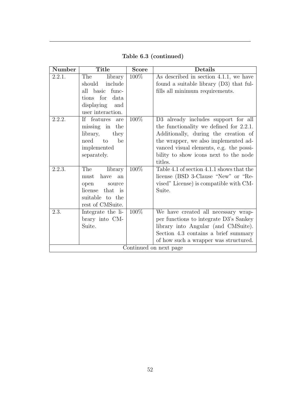| <b>Number</b>          | Title              | Score   | <b>Details</b>                            |
|------------------------|--------------------|---------|-------------------------------------------|
| 2.2.1.                 | The<br>library     | 100%    | As described in section 4.1.1, we have    |
|                        | should<br>include  |         | found a suitable library $(D3)$ that ful- |
|                        | all basic<br>func- |         | fills all minimum requirements.           |
|                        | tions for<br>data  |         |                                           |
|                        | displaying<br>and  |         |                                           |
|                        | user interaction.  |         |                                           |
| 2.2.2.                 | If features<br>are | 100%    | D3 already includes support for all       |
|                        | missing in the     |         | the functionality we defined for 2.2.1.   |
|                        | library,<br>they   |         | Additionally, during the creation of      |
|                        | need to<br>be      |         | the wrapper, we also implemented ad-      |
|                        | implemented        |         | vanced visual elements, e.g. the possi-   |
|                        | separately.        |         | bility to show icons next to the node     |
|                        |                    |         | titles.                                   |
| 2.2.3.                 | The<br>library     | $100\%$ | Table 4.1 of section 4.1.1 shows that the |
|                        | have<br>must<br>an |         | license (BSD 3-Clause "New" or "Re-       |
|                        | open<br>source     |         | vised" License) is compatible with CM-    |
|                        | that is<br>license |         | Suite.                                    |
|                        | suitable to the    |         |                                           |
|                        | rest of CMSuite.   |         |                                           |
| 2.3.                   | Integrate the li-  | 100\%   | We have created all necessary wrap-       |
|                        | brary into CM-     |         | per functions to integrate D3's Sankey    |
|                        | Suite.             |         | library into Angular (and CMSuite).       |
|                        |                    |         | Section 4.3 contains a brief summary      |
|                        |                    |         | of how such a wrapper was structured.     |
| Continued on next page |                    |         |                                           |

Table 6.3 (continued)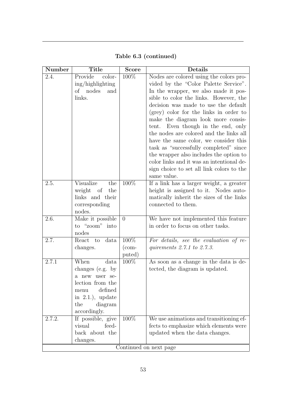| Number                 | <b>Title</b>                       | $\overline{\text{Score}}$ | Details                                                                          |  |
|------------------------|------------------------------------|---------------------------|----------------------------------------------------------------------------------|--|
| 2.4.                   | Provide<br>color-                  | 100%                      | Nodes are colored using the colors pro-                                          |  |
|                        | ing/highlighting                   |                           | vided by the "Color Palette Service".                                            |  |
|                        | of<br>nodes<br>and                 |                           | In the wrapper, we also made it pos-                                             |  |
|                        | links.                             |                           | sible to color the links. However, the                                           |  |
|                        |                                    |                           | decision was made to use the default                                             |  |
|                        |                                    |                           | (grey) color for the links in order to                                           |  |
|                        |                                    |                           | make the diagram look more consis-                                               |  |
|                        |                                    |                           | Even though in the end, only<br>tent.<br>the nodes are colored and the links all |  |
|                        |                                    |                           | have the same color, we consider this                                            |  |
|                        |                                    |                           | task as "successfully completed" since                                           |  |
|                        |                                    |                           | the wrapper also includes the option to                                          |  |
|                        |                                    |                           | color links and it was an intentional de-                                        |  |
|                        |                                    |                           | sign choice to set all link colors to the                                        |  |
|                        |                                    |                           | same value.                                                                      |  |
| 2.5.                   | Visualize<br>the                   | 100\%                     | If a link has a larger weight, a greater                                         |  |
|                        | weight of<br>the                   |                           | height is assigned to it. Nodes auto-                                            |  |
|                        | links and their                    |                           | matically inherit the sizes of the links                                         |  |
|                        | corresponding                      |                           | connected to them.                                                               |  |
|                        | nodes.                             |                           |                                                                                  |  |
| 2.6.                   | Make it possible<br>to "zoom" into | $\overline{0}$            | We have not implemented this feature<br>in order to focus on other tasks.        |  |
|                        | nodes                              |                           |                                                                                  |  |
| 2.7.                   | React<br>data<br>to                | 100%                      | For details, see the evaluation of re-                                           |  |
|                        | changes.                           | $(\text{com-}$            | quirements $2.7.1$ to $2.7.3$ .                                                  |  |
|                        |                                    | puted)                    |                                                                                  |  |
| 2.7.1                  | When<br>data                       | 100%                      | As soon as a change in the data is de-                                           |  |
|                        | changes (e.g. by                   |                           | tected, the diagram is updated.                                                  |  |
|                        | a new user se-                     |                           |                                                                                  |  |
|                        | lection from the                   |                           |                                                                                  |  |
|                        | defined<br>menu                    |                           |                                                                                  |  |
|                        | in $2.1$ ), update                 |                           |                                                                                  |  |
|                        | the<br>diagram<br>accordingly.     |                           |                                                                                  |  |
| 2.7.2.                 | If possible, give                  | 100%                      | We use animations and transitioning ef-                                          |  |
|                        | visual<br>feed-                    |                           | fects to emphasize which elements were                                           |  |
|                        | back about the                     |                           | updated when the data changes.                                                   |  |
|                        | changes.                           |                           |                                                                                  |  |
| Continued on next page |                                    |                           |                                                                                  |  |

Table 6.3 (continued)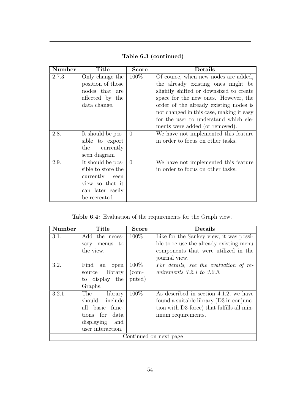| <b>Number</b> | Title              | Score    | Details                                  |
|---------------|--------------------|----------|------------------------------------------|
| 2.7.3.        | Only change the    | $100\%$  | Of course, when new nodes are added,     |
|               | position of those  |          | the already existing ones might be       |
|               | nodes that are     |          | slightly shifted or downsized to create  |
|               | affected by the    |          | space for the new ones. However, the     |
|               | data change.       |          | order of the already existing nodes is   |
|               |                    |          | not changed in this case, making it easy |
|               |                    |          | for the user to understand which ele-    |
|               |                    |          | ments were added (or removed).           |
| 2.8.          | It should be pos-  | $\Omega$ | We have not implemented this feature     |
|               | sible to export    |          | in order to focus on other tasks.        |
|               | the currently      |          |                                          |
|               | seen diagram       |          |                                          |
| 2.9.          | It should be pos-  | $\Omega$ | We have not implemented this feature     |
|               | sible to store the |          | in order to focus on other tasks.        |
|               | currently seen     |          |                                          |
|               | view so that it    |          |                                          |
|               | can later easily   |          |                                          |
|               | be recreated.      |          |                                          |

Table 6.3 (continued)

Table 6.4: Evaluation of the requirements for the Graph view.

<span id="page-58-0"></span>

| <b>Number</b>          | Title             | <b>Score</b>                    | Details                                    |
|------------------------|-------------------|---------------------------------|--------------------------------------------|
| 3.1.                   | Add the neces-    | 100\%                           | Like for the Sankey view, it was possi-    |
|                        | menus to<br>sary  |                                 | ble to re-use the already existing menu    |
|                        | the view.         |                                 | components that were utilized in the       |
|                        |                   |                                 | journal view.                              |
| 3.2.                   | Find an<br>open   | $100\%$                         | For details, see the evaluation of re-     |
|                        | library<br>source | $\frac{\text{com}}{\text{com}}$ | quirements $3.2.1$ to $3.2.3$ .            |
|                        | to display the    | puted)                          |                                            |
|                        | Graphs.           |                                 |                                            |
| 3.2.1.                 | The<br>library    | $100\%$                         | As described in section 4.1.2, we have     |
|                        | should include    |                                 | found a suitable library (D3 in conjunc-   |
|                        | all basic func-   |                                 | tion with D3-force) that fulfills all min- |
|                        | tions for<br>data |                                 | imum requirements.                         |
|                        | displaying and    |                                 |                                            |
|                        | user interaction. |                                 |                                            |
| Continued on next page |                   |                                 |                                            |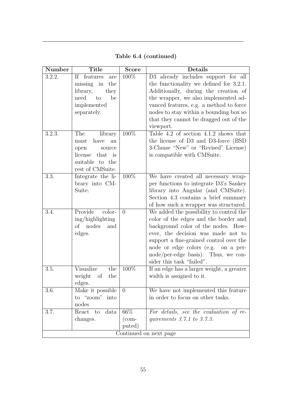| <b>Number</b>          | <b>Title</b>          | <b>Score</b>   | Details                                   |
|------------------------|-----------------------|----------------|-------------------------------------------|
| 3.2.2.                 | If features<br>are    | 100%           | D3 already includes support for all       |
|                        | missing in<br>the     |                | the functionality we defined for 3.2.1.   |
|                        | library,<br>they      |                | Additionally, during the creation of      |
|                        | need<br>to<br>be      |                | the wrapper, we also implemented ad-      |
|                        | implemented           |                | vanced features, e.g. a method to force   |
|                        | separately.           |                | nodes to stay within a bounding box so    |
|                        |                       |                | that they cannot be dragged out of the    |
|                        |                       |                | viewport.                                 |
| 3.2.3.                 | The<br>library        | 100%           | Table 4.2 of section $4.1.2$ shows that   |
|                        | have<br>must<br>an    |                | the license of D3 and D3-force (BSD)      |
|                        | open<br>source        |                | 3-Clause "New" or "Revised" License)      |
|                        | license<br>that<br>is |                | is compatible with CMSuite.               |
|                        | suitable to the       |                |                                           |
|                        | rest of CMSuite.      |                |                                           |
| 3.3.                   | Integrate the li-     | 100%           | We have created all necessary wrap-       |
|                        | brary into CM-        |                | per functions to integrate D3's Sankey    |
|                        | Suite.                |                | library into Angular (and CMSuite).       |
|                        |                       |                | Section 4.3 contains a brief summary      |
|                        |                       |                | of how such a wrapper was structured.     |
| 3.4.                   | Provide<br>color-     | $\overline{0}$ | We added the possibility to control the   |
|                        | ing/highlighting      |                | color of the edges and the border and     |
|                        | of nodes<br>and       |                | background color of the nodes. How-       |
|                        | edges.                |                | ever, the decision was made not to        |
|                        |                       |                | support a fine-grained control over the   |
|                        |                       |                | node or edge colors (e.g. on a per-       |
|                        |                       |                | $node/per-edge$ basis). Thus, we con-     |
|                        |                       |                | sider this task "failed".                 |
| 3.5.                   | Visualize<br>the      | 100%           | If an edge has a larger weight, a greater |
|                        | weight<br>the<br>of   |                | width is assigned to it.                  |
|                        | edges.                |                |                                           |
| 3.6.                   | Make it possible      | $\theta$       | We have not implemented this feature      |
|                        | to "zoom" into        |                | in order to focus on other tasks.         |
|                        | nodes                 |                |                                           |
| 3.7.                   | data<br>React<br>to   | 66\%           | For details, see the evaluation of re-    |
|                        | changes.              | $(\text{com-}$ | quirements $3.7.1$ to $3.7.3$ .           |
|                        |                       | puted)         |                                           |
| Continued on next page |                       |                |                                           |

Table 6.4 (continued)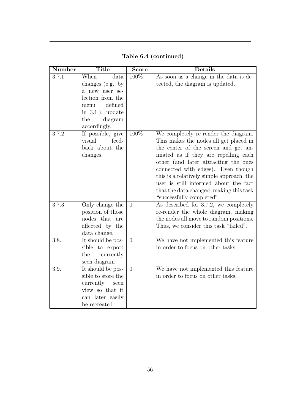| Number             | <b>Title</b>                                                                                                                                       | Score          | <b>Details</b>                                                                                                                                                                                                                                                                                                                                                                                             |
|--------------------|----------------------------------------------------------------------------------------------------------------------------------------------------|----------------|------------------------------------------------------------------------------------------------------------------------------------------------------------------------------------------------------------------------------------------------------------------------------------------------------------------------------------------------------------------------------------------------------------|
| 3.7.1              | When<br>data<br>changes (e.g. by<br>a new user se-<br>lection from the<br>defined<br>menu<br>in $3.1$ .), update<br>the<br>diagram<br>accordingly. | 100%           | As soon as a change in the data is de-<br>tected, the diagram is updated.                                                                                                                                                                                                                                                                                                                                  |
| 3.7.2.             | If possible, give<br>visual<br>feed-<br>back about the<br>changes.                                                                                 | 100%           | We completely re-render the diagram.<br>This makes the nodes all get placed in<br>the center of the screen and get an-<br>imated as if they are repelling each<br>other (and later attracting the ones<br>connected with edges). Even though<br>this is a relatively simple approach, the<br>user is still informed about the fact<br>that the data changed, making this task<br>"successfully completed". |
| 3.7.3.             | Only change the<br>position of those<br>nodes that<br>are<br>affected by the<br>data change.                                                       | $\overline{0}$ | As described for 3.7.2, we completely<br>re-render the whole diagram, making<br>the nodes all move to random positions.<br>Thus, we consider this task "failed".                                                                                                                                                                                                                                           |
| $\overline{3.8}$ . | It should be pos-<br>sible to export<br>the<br>currently<br>seen diagram                                                                           | $\overline{0}$ | We have not implemented this feature<br>in order to focus on other tasks.                                                                                                                                                                                                                                                                                                                                  |
| 3.9.               | It should be pos-<br>sible to store the<br>currently<br>seen<br>view so that it<br>can later easily<br>be recreated.                               | $\overline{0}$ | We have not implemented this feature<br>in order to focus on other tasks.                                                                                                                                                                                                                                                                                                                                  |

Table 6.4 (continued)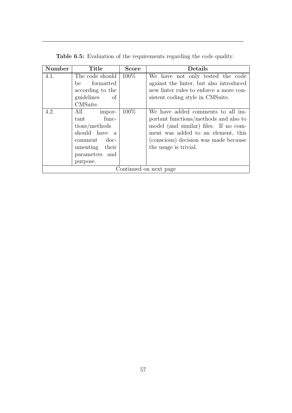<span id="page-61-0"></span>

| Number                 | Title                  | <b>Score</b> | Details                                 |
|------------------------|------------------------|--------------|-----------------------------------------|
| 4.1.                   | The code should        | $100\%$      | We have not only tested the code        |
|                        | formatted<br>be        |              | against the linter, but also introduced |
|                        | according to the       |              | new linter rules to enforce a more con- |
|                        | guidelines<br>of       |              | sistent coding style in CMSuite.        |
|                        | CMSuite.               |              |                                         |
| 4.2.                   | All<br>impor-          | 100\%        | We have added comments to all im-       |
|                        | func-<br>tant          |              | portant functions/methods and also to   |
|                        | tions/methods          |              | model (and similar) files. If no com-   |
|                        | should have a          |              | ment was added to an element, this      |
|                        | $\rm{doc-}$<br>comment |              | (conscious) decision was made because   |
|                        | umenting their         |              | the usage is trivial.                   |
|                        | parameters and         |              |                                         |
|                        | purpose.               |              |                                         |
| Continued on next page |                        |              |                                         |

Table 6.5: Evaluation of the requirements regarding the code quality.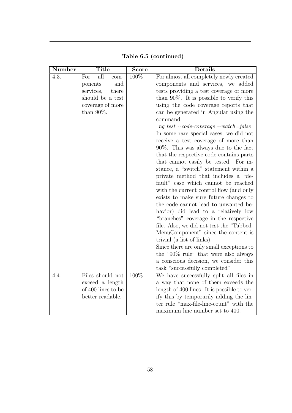<span id="page-62-0"></span>

| Number | <b>Title</b>       | <b>Score</b> | Details                                                                         |
|--------|--------------------|--------------|---------------------------------------------------------------------------------|
| 4.3.   | all<br>For<br>com- | 100%         | For almost all completely newly created                                         |
|        | and<br>ponents     |              | components and services, we added                                               |
|        | services,<br>there |              | tests providing a test coverage of more                                         |
|        | should be a test   |              | than $90\%$ . It is possible to verify this                                     |
|        | coverage of more   |              | using the code coverage reports that                                            |
|        | than $90\%$ .      |              | can be generated in Angular using the                                           |
|        |                    |              | command                                                                         |
|        |                    |              | $ng \text{ } test \text{ }--code\text{-}coverage \text{ }--watch\text{ }=false$ |
|        |                    |              | In some rare special cases, we did not                                          |
|        |                    |              | receive a test coverage of more than                                            |
|        |                    |              | $90\%$ . This was always due to the fact                                        |
|        |                    |              | that the respective code contains parts                                         |
|        |                    |              | that cannot easily be tested. For in-                                           |
|        |                    |              | stance, a "switch" statement within a                                           |
|        |                    |              | private method that includes a "de-                                             |
|        |                    |              | fault" case which cannot be reached                                             |
|        |                    |              | with the current control flow (and only                                         |
|        |                    |              | exists to make sure future changes to                                           |
|        |                    |              | the code cannot lead to unwanted be-                                            |
|        |                    |              | havior) did lead to a relatively low                                            |
|        |                    |              | "branches" coverage in the respective                                           |
|        |                    |              | file. Also, we did not test the "Tabbed-                                        |
|        |                    |              | MenuComponent" since the content is                                             |
|        |                    |              | trivial (a list of links).                                                      |
|        |                    |              | Since there are only small exceptions to                                        |
|        |                    |              | the "90% rule" that were also always                                            |
|        |                    |              | a conscious decision, we consider this                                          |
|        |                    |              | task "successfully completed"                                                   |
| 4.4.   | Files should not   | 100\%        | We have successfully split all files in                                         |
|        | exceed a length    |              | a way that none of them exceeds the                                             |
|        | of 400 lines to be |              | length of 400 lines. It is possible to ver-                                     |
|        | better readable.   |              | ify this by temporarily adding the lin-                                         |
|        |                    |              | ter rule "max-file-line-count" with the                                         |
|        |                    |              | maximum line number set to 400.                                                 |

Table 6.5 (continued)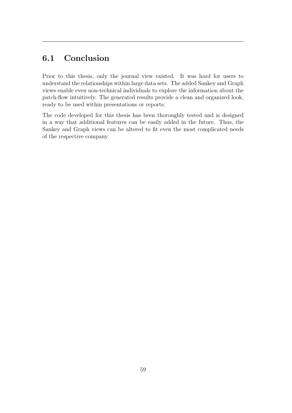# 6.1 Conclusion

Prior to this thesis, only the journal view existed. It was hard for users to understand the relationships within large data sets. The added Sankey and Graph views enable even non-technical individuals to explore the information about the patch-flow intuitively. The generated results provide a clean and organized look, ready to be used within presentations or reports.

The code developed for this thesis has been thoroughly tested and is designed in a way that additional features can be easily added in the future. Thus, the Sankey and Graph views can be altered to fit even the most complicated needs of the respective company.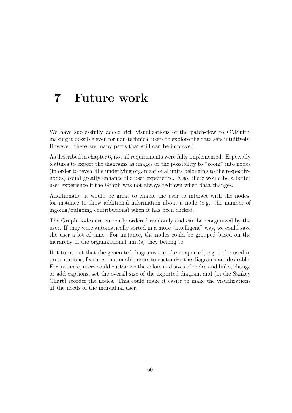# <span id="page-64-0"></span>7 Future work

We have successfully added rich visualizations of the patch-flow to CMSuite, making it possible even for non-technical users to explore the data sets intuitively. However, there are many parts that still can be improved.

As described in chapter [6,](#page-52-0) not all requirements were fully implemented. Especially features to export the diagrams as images or the possibility to "zoom" into nodes (in order to reveal the underlying organizational units belonging to the respective nodes) could greatly enhance the user experience. Also, there would be a better user experience if the Graph was not always redrawn when data changes.

Additionally, it would be great to enable the user to interact with the nodes, for instance to show additional information about a node (e.g. the number of ingoing/outgoing contributions) when it has been clicked.

The Graph nodes are currently ordered randomly and can be reorganized by the user. If they were automatically sorted in a more "intelligent" way, we could save the user a lot of time. For instance, the nodes could be grouped based on the hierarchy of the organizational unit(s) they belong to.

If it turns out that the generated diagrams are often exported, e.g. to be used in presentations, features that enable users to customize the diagrams are desirable. For instance, users could customize the colors and sizes of nodes and links, change or add captions, set the overall size of the exported diagram and (in the Sankey Chart) reorder the nodes. This could make it easier to make the visualizations fit the needs of the individual user.